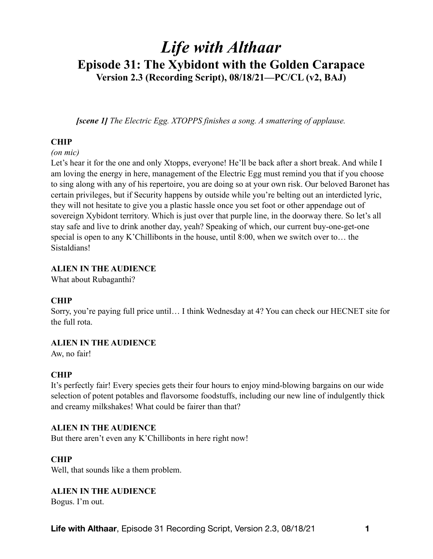# *Life with Althaar*  **Episode 31: The Xybidont with the Golden Carapace Version 2.3 (Recording Script), 08/18/21—PC/CL (v2, BAJ)**

*[scene 1] The Electric Egg. XTOPPS finishes a song. A smattering of applause.* 

### **CHIP**

#### *(on mic)*

Let's hear it for the one and only Xtopps, everyone! He'll be back after a short break. And while I am loving the energy in here, management of the Electric Egg must remind you that if you choose to sing along with any of his repertoire, you are doing so at your own risk. Our beloved Baronet has certain privileges, but if Security happens by outside while you're belting out an interdicted lyric, they will not hesitate to give you a plastic hassle once you set foot or other appendage out of sovereign Xybidont territory. Which is just over that purple line, in the doorway there. So let's all stay safe and live to drink another day, yeah? Speaking of which, our current buy-one-get-one special is open to any K'Chillibonts in the house, until 8:00, when we switch over to… the Sistaldians!

#### **ALIEN IN THE AUDIENCE**

What about Rubaganthi?

### **CHIP**

Sorry, you're paying full price until… I think Wednesday at 4? You can check our HECNET site for the full rota.

#### **ALIEN IN THE AUDIENCE**

Aw, no fair!

### **CHIP**

It's perfectly fair! Every species gets their four hours to enjoy mind-blowing bargains on our wide selection of potent potables and flavorsome foodstuffs, including our new line of indulgently thick and creamy milkshakes! What could be fairer than that?

#### **ALIEN IN THE AUDIENCE**

But there aren't even any K'Chillibonts in here right now!

#### **CHIP**

Well, that sounds like a them problem.

#### **ALIEN IN THE AUDIENCE**

Bogus. I'm out.

**Life with Althaar**, Episode 31 Recording Script, Version 2.3, 08/18/21 **1**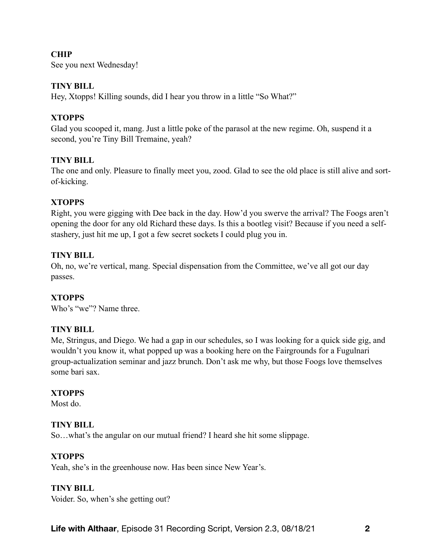### **CHIP**

See you next Wednesday!

#### **TINY BILL**

Hey, Xtopps! Killing sounds, did I hear you throw in a little "So What?"

### **XTOPPS**

Glad you scooped it, mang. Just a little poke of the parasol at the new regime. Oh, suspend it a second, you're Tiny Bill Tremaine, yeah?

### **TINY BILL**

The one and only. Pleasure to finally meet you, zood. Glad to see the old place is still alive and sortof-kicking.

### **XTOPPS**

Right, you were gigging with Dee back in the day. How'd you swerve the arrival? The Foogs aren't opening the door for any old Richard these days. Is this a bootleg visit? Because if you need a selfstashery, just hit me up, I got a few secret sockets I could plug you in.

### **TINY BILL**

Oh, no, we're vertical, mang. Special dispensation from the Committee, we've all got our day passes.

### **XTOPPS**

Who's "we"? Name three

### **TINY BILL**

Me, Stringus, and Diego. We had a gap in our schedules, so I was looking for a quick side gig, and wouldn't you know it, what popped up was a booking here on the Fairgrounds for a Fugulnari group-actualization seminar and jazz brunch. Don't ask me why, but those Foogs love themselves some bari sax.

### **XTOPPS**

Most do.

### **TINY BILL**

So…what's the angular on our mutual friend? I heard she hit some slippage.

### **XTOPPS**

Yeah, she's in the greenhouse now. Has been since New Year's.

### **TINY BILL**

Voider. So, when's she getting out?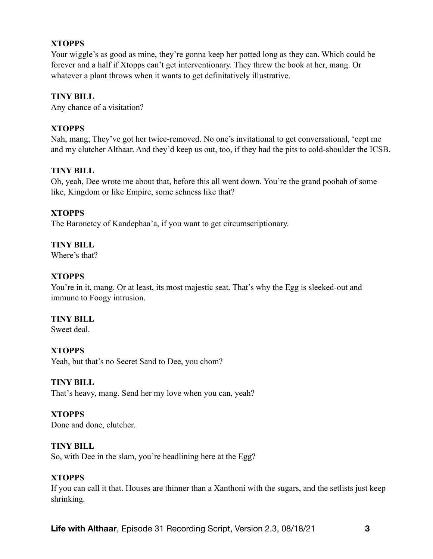### **XTOPPS**

Your wiggle's as good as mine, they're gonna keep her potted long as they can. Which could be forever and a half if Xtopps can't get interventionary. They threw the book at her, mang. Or whatever a plant throws when it wants to get definitatively illustrative.

### **TINY BILL**

Any chance of a visitation?

### **XTOPPS**

Nah, mang, They've got her twice-removed. No one's invitational to get conversational, 'cept me and my clutcher Althaar. And they'd keep us out, too, if they had the pits to cold-shoulder the ICSB.

### **TINY BILL**

Oh, yeah, Dee wrote me about that, before this all went down. You're the grand poobah of some like, Kingdom or like Empire, some schness like that?

### **XTOPPS**

The Baronetcy of Kandephaa'a, if you want to get circumscriptionary.

### **TINY BILL**

Where's that?

### **XTOPPS**

You're in it, mang. Or at least, its most majestic seat. That's why the Egg is sleeked-out and immune to Foogy intrusion.

### **TINY BILL**

Sweet deal.

### **XTOPPS**

Yeah, but that's no Secret Sand to Dee, you chom?

### **TINY BILL**

That's heavy, mang. Send her my love when you can, yeah?

### **XTOPPS**

Done and done, clutcher.

### **TINY BILL**

So, with Dee in the slam, you're headlining here at the Egg?

### **XTOPPS**

If you can call it that. Houses are thinner than a Xanthoni with the sugars, and the setlists just keep shrinking.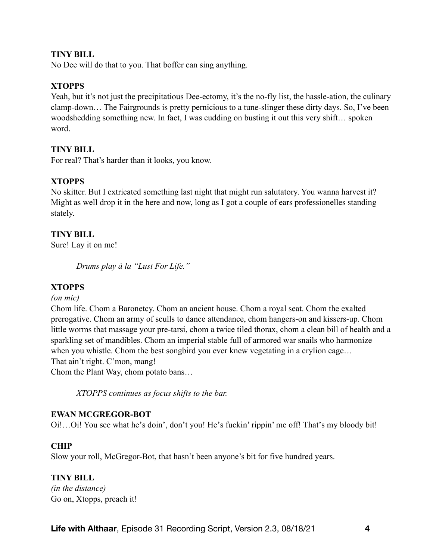#### **TINY BILL**

No Dee will do that to you. That boffer can sing anything.

#### **XTOPPS**

Yeah, but it's not just the precipitatious Dee-ectomy, it's the no-fly list, the hassle-ation, the culinary clamp-down… The Fairgrounds is pretty pernicious to a tune-slinger these dirty days. So, I've been woodshedding something new. In fact, I was cudding on busting it out this very shift… spoken word.

#### **TINY BILL**

For real? That's harder than it looks, you know.

### **XTOPPS**

No skitter. But I extricated something last night that might run salutatory. You wanna harvest it? Might as well drop it in the here and now, long as I got a couple of ears professionelles standing stately.

#### **TINY BILL**

Sure! Lay it on me!

*Drums play à la "Lust For Life."* 

### **XTOPPS**

#### *(on mic)*

Chom life. Chom a Baronetcy. Chom an ancient house. Chom a royal seat. Chom the exalted prerogative. Chom an army of sculls to dance attendance, chom hangers-on and kissers-up. Chom little worms that massage your pre-tarsi, chom a twice tiled thorax, chom a clean bill of health and a sparkling set of mandibles. Chom an imperial stable full of armored war snails who harmonize when you whistle. Chom the best songbird you ever knew vegetating in a crylion cage... That ain't right. C'mon, mang! Chom the Plant Way, chom potato bans…

*XTOPPS continues as focus shifts to the bar.*

#### **EWAN MCGREGOR-BOT**

Oi!…Oi! You see what he's doin', don't you! He's fuckin' rippin' me off! That's my bloody bit!

#### **CHIP**

Slow your roll, McGregor-Bot, that hasn't been anyone's bit for five hundred years.

#### **TINY BILL**

*(in the distance)*  Go on, Xtopps, preach it!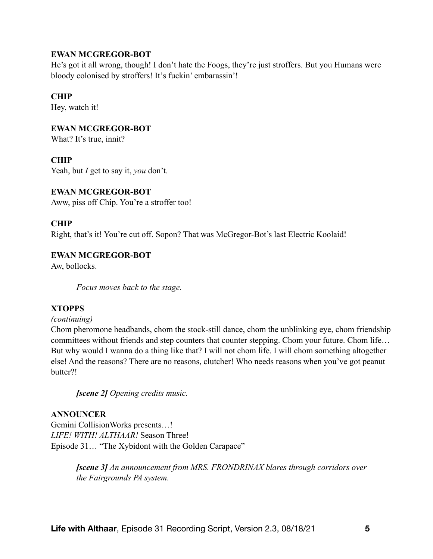### **EWAN MCGREGOR-BOT**

He's got it all wrong, though! I don't hate the Foogs, they're just stroffers. But you Humans were bloody colonised by stroffers! It's fuckin' embarassin'!

### **CHIP**

Hey, watch it!

### **EWAN MCGREGOR-BOT**

What? It's true, innit?

### **CHIP**

Yeah, but *I* get to say it, *you* don't.

### **EWAN MCGREGOR-BOT**

Aww, piss off Chip. You're a stroffer too!

### **CHIP**

Right, that's it! You're cut off. Sopon? That was McGregor-Bot's last Electric Koolaid!

### **EWAN MCGREGOR-BOT**

Aw, bollocks.

*Focus moves back to the stage.* 

### **XTOPPS**

#### *(continuing)*

Chom pheromone headbands, chom the stock-still dance, chom the unblinking eye, chom friendship committees without friends and step counters that counter stepping. Chom your future. Chom life… But why would I wanna do a thing like that? I will not chom life. I will chom something altogether else! And the reasons? There are no reasons, clutcher! Who needs reasons when you've got peanut butter?!

*[scene 2] Opening credits music.* 

### **ANNOUNCER**

Gemini CollisionWorks presents…! *LIFE! WITH! ALTHAAR!* Season Three! Episode 31… "The Xybidont with the Golden Carapace"

> *[scene 3] An announcement from MRS. FRONDRINAX blares through corridors over the Fairgrounds PA system.*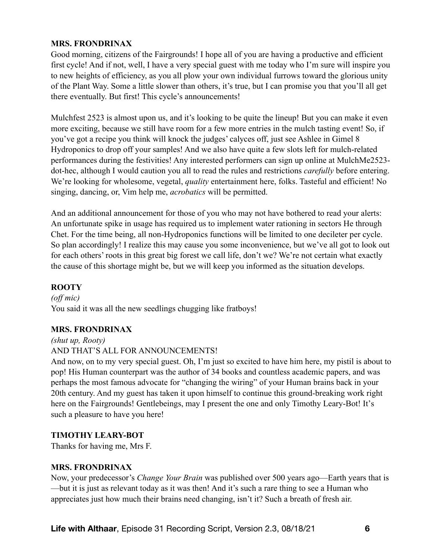### **MRS. FRONDRINAX**

Good morning, citizens of the Fairgrounds! I hope all of you are having a productive and efficient first cycle! And if not, well, I have a very special guest with me today who I'm sure will inspire you to new heights of efficiency, as you all plow your own individual furrows toward the glorious unity of the Plant Way. Some a little slower than others, it's true, but I can promise you that you'll all get there eventually. But first! This cycle's announcements!

Mulchfest 2523 is almost upon us, and it's looking to be quite the lineup! But you can make it even more exciting, because we still have room for a few more entries in the mulch tasting event! So, if you've got a recipe you think will knock the judges' calyces off, just see Ashlee in Gimel 8 Hydroponics to drop off your samples! And we also have quite a few slots left for mulch-related performances during the festivities! Any interested performers can sign up online at MulchMe2523 dot-hec, although I would caution you all to read the rules and restrictions *carefully* before entering. We're looking for wholesome, vegetal, *quality* entertainment here, folks. Tasteful and efficient! No singing, dancing, or, Vim help me, *acrobatics* will be permitted.

And an additional announcement for those of you who may not have bothered to read your alerts: An unfortunate spike in usage has required us to implement water rationing in sectors He through Chet. For the time being, all non-Hydroponics functions will be limited to one decileter per cycle. So plan accordingly! I realize this may cause you some inconvenience, but we've all got to look out for each others' roots in this great big forest we call life, don't we? We're not certain what exactly the cause of this shortage might be, but we will keep you informed as the situation develops.

# **ROOTY**

*(off mic)*  You said it was all the new seedlings chugging like fratboys!

### **MRS. FRONDRINAX**

*(shut up, Rooty)* 

### AND THAT'S ALL FOR ANNOUNCEMENTS!

And now, on to my very special guest. Oh, I'm just so excited to have him here, my pistil is about to pop! His Human counterpart was the author of 34 books and countless academic papers, and was perhaps the most famous advocate for "changing the wiring" of your Human brains back in your 20th century. And my guest has taken it upon himself to continue this ground-breaking work right here on the Fairgrounds! Gentlebeings, may I present the one and only Timothy Leary-Bot! It's such a pleasure to have you here!

# **TIMOTHY LEARY-BOT**

Thanks for having me, Mrs F.

### **MRS. FRONDRINAX**

Now, your predecessor's *Change Your Brain* was published over 500 years ago—Earth years that is —but it is just as relevant today as it was then! And it's such a rare thing to see a Human who appreciates just how much their brains need changing, isn't it? Such a breath of fresh air.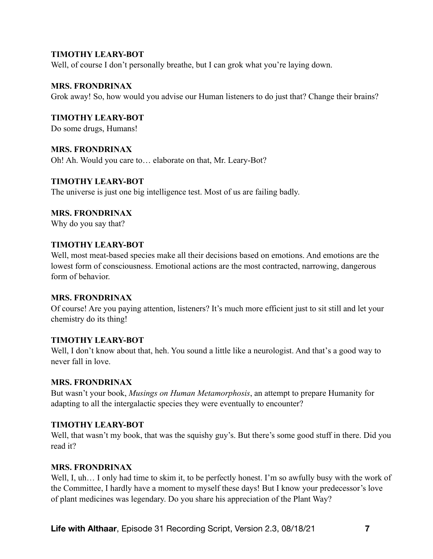Well, of course I don't personally breathe, but I can grok what you're laying down.

#### **MRS. FRONDRINAX**

Grok away! So, how would you advise our Human listeners to do just that? Change their brains?

**TIMOTHY LEARY-BOT** 

Do some drugs, Humans!

#### **MRS. FRONDRINAX**

Oh! Ah. Would you care to… elaborate on that, Mr. Leary-Bot?

#### **TIMOTHY LEARY-BOT**

The universe is just one big intelligence test. Most of us are failing badly.

#### **MRS. FRONDRINAX**

Why do you say that?

#### **TIMOTHY LEARY-BOT**

Well, most meat-based species make all their decisions based on emotions. And emotions are the lowest form of consciousness. Emotional actions are the most contracted, narrowing, dangerous form of behavior.

#### **MRS. FRONDRINAX**

Of course! Are you paying attention, listeners? It's much more efficient just to sit still and let your chemistry do its thing!

#### **TIMOTHY LEARY-BOT**

Well, I don't know about that, heh. You sound a little like a neurologist. And that's a good way to never fall in love.

### **MRS. FRONDRINAX**

But wasn't your book, *Musings on Human Metamorphosis*, an attempt to prepare Humanity for adapting to all the intergalactic species they were eventually to encounter?

### **TIMOTHY LEARY-BOT**

Well, that wasn't my book, that was the squishy guy's. But there's some good stuff in there. Did you read it?

#### **MRS. FRONDRINAX**

Well, I, uh... I only had time to skim it, to be perfectly honest. I'm so awfully busy with the work of the Committee, I hardly have a moment to myself these days! But I know your predecessor's love of plant medicines was legendary. Do you share his appreciation of the Plant Way?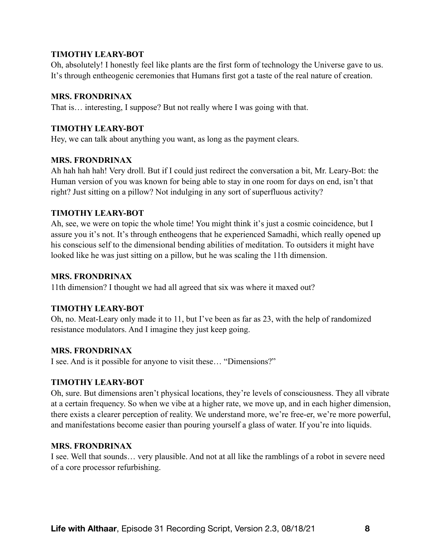Oh, absolutely! I honestly feel like plants are the first form of technology the Universe gave to us. It's through entheogenic ceremonies that Humans first got a taste of the real nature of creation.

### **MRS. FRONDRINAX**

That is… interesting, I suppose? But not really where I was going with that.

### **TIMOTHY LEARY-BOT**

Hey, we can talk about anything you want, as long as the payment clears.

### **MRS. FRONDRINAX**

Ah hah hah hah! Very droll. But if I could just redirect the conversation a bit, Mr. Leary-Bot: the Human version of you was known for being able to stay in one room for days on end, isn't that right? Just sitting on a pillow? Not indulging in any sort of superfluous activity?

# **TIMOTHY LEARY-BOT**

Ah, see, we were on topic the whole time! You might think it's just a cosmic coincidence, but I assure you it's not. It's through entheogens that he experienced Samadhi, which really opened up his conscious self to the dimensional bending abilities of meditation. To outsiders it might have looked like he was just sitting on a pillow, but he was scaling the 11th dimension.

# **MRS. FRONDRINAX**

11th dimension? I thought we had all agreed that six was where it maxed out?

# **TIMOTHY LEARY-BOT**

Oh, no. Meat-Leary only made it to 11, but I've been as far as 23, with the help of randomized resistance modulators. And I imagine they just keep going.

# **MRS. FRONDRINAX**

I see. And is it possible for anyone to visit these… "Dimensions?"

# **TIMOTHY LEARY-BOT**

Oh, sure. But dimensions aren't physical locations, they're levels of consciousness. They all vibrate at a certain frequency. So when we vibe at a higher rate, we move up, and in each higher dimension, there exists a clearer perception of reality. We understand more, we're free-er, we're more powerful, and manifestations become easier than pouring yourself a glass of water. If you're into liquids.

# **MRS. FRONDRINAX**

I see. Well that sounds… very plausible. And not at all like the ramblings of a robot in severe need of a core processor refurbishing.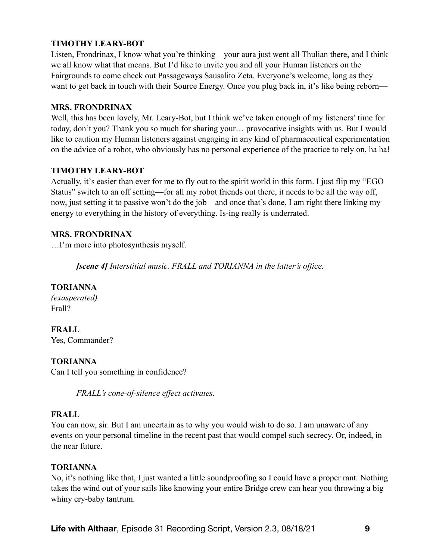Listen, Frondrinax, I know what you're thinking—your aura just went all Thulian there, and I think we all know what that means. But I'd like to invite you and all your Human listeners on the Fairgrounds to come check out Passageways Sausalito Zeta. Everyone's welcome, long as they want to get back in touch with their Source Energy. Once you plug back in, it's like being reborn—

#### **MRS. FRONDRINAX**

Well, this has been lovely, Mr. Leary-Bot, but I think we've taken enough of my listeners' time for today, don't you? Thank you so much for sharing your… provocative insights with us. But I would like to caution my Human listeners against engaging in any kind of pharmaceutical experimentation on the advice of a robot, who obviously has no personal experience of the practice to rely on, ha ha!

### **TIMOTHY LEARY-BOT**

Actually, it's easier than ever for me to fly out to the spirit world in this form. I just flip my "EGO Status" switch to an off setting—for all my robot friends out there, it needs to be all the way off, now, just setting it to passive won't do the job—and once that's done, I am right there linking my energy to everything in the history of everything. Is-ing really is underrated.

### **MRS. FRONDRINAX**

…I'm more into photosynthesis myself.

*[scene 4] Interstitial music. FRALL and TORIANNA in the latter's office.* 

# **TORIANNA**

*(exasperated)*  Frall?

**FRALL**  Yes, Commander?

### **TORIANNA**

Can I tell you something in confidence?

*FRALL's cone-of-silence effect activates.* 

### **FRALL**

You can now, sir. But I am uncertain as to why you would wish to do so. I am unaware of any events on your personal timeline in the recent past that would compel such secrecy. Or, indeed, in the near future.

### **TORIANNA**

No, it's nothing like that, I just wanted a little soundproofing so I could have a proper rant. Nothing takes the wind out of your sails like knowing your entire Bridge crew can hear you throwing a big whiny cry-baby tantrum.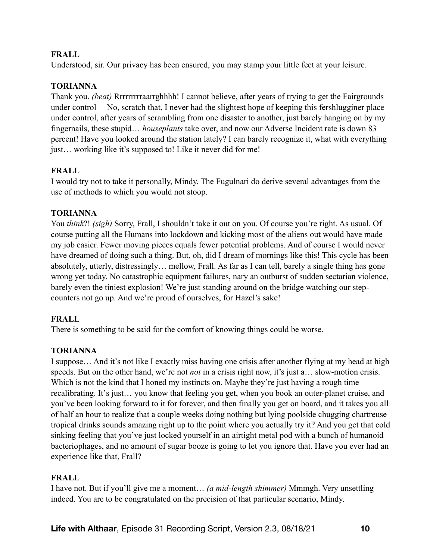Understood, sir. Our privacy has been ensured, you may stamp your little feet at your leisure.

### **TORIANNA**

Thank you. *(beat)* Rrrrrrrrraarrghhhh! I cannot believe, after years of trying to get the Fairgrounds under control— No, scratch that, I never had the slightest hope of keeping this fershlugginer place under control, after years of scrambling from one disaster to another, just barely hanging on by my fingernails, these stupid… *houseplants* take over, and now our Adverse Incident rate is down 83 percent! Have you looked around the station lately? I can barely recognize it, what with everything just... working like it's supposed to! Like it never did for me!

# **FRALL**

I would try not to take it personally, Mindy. The Fugulnari do derive several advantages from the use of methods to which you would not stoop.

### **TORIANNA**

You *think*?! *(sigh)* Sorry, Frall, I shouldn't take it out on you. Of course you're right. As usual. Of course putting all the Humans into lockdown and kicking most of the aliens out would have made my job easier. Fewer moving pieces equals fewer potential problems. And of course I would never have dreamed of doing such a thing. But, oh, did I dream of mornings like this! This cycle has been absolutely, utterly, distressingly… mellow, Frall. As far as I can tell, barely a single thing has gone wrong yet today. No catastrophic equipment failures, nary an outburst of sudden sectarian violence, barely even the tiniest explosion! We're just standing around on the bridge watching our stepcounters not go up. And we're proud of ourselves, for Hazel's sake!

# **FRALL**

There is something to be said for the comfort of knowing things could be worse.

# **TORIANNA**

I suppose… And it's not like I exactly miss having one crisis after another flying at my head at high speeds. But on the other hand, we're not *not* in a crisis right now, it's just a… slow-motion crisis. Which is not the kind that I honed my instincts on. Maybe they're just having a rough time recalibrating. It's just… you know that feeling you get, when you book an outer-planet cruise, and you've been looking forward to it for forever, and then finally you get on board, and it takes you all of half an hour to realize that a couple weeks doing nothing but lying poolside chugging chartreuse tropical drinks sounds amazing right up to the point where you actually try it? And you get that cold sinking feeling that you've just locked yourself in an airtight metal pod with a bunch of humanoid bacteriophages, and no amount of sugar booze is going to let you ignore that. Have you ever had an experience like that, Frall?

### **FRALL**

I have not. But if you'll give me a moment… *(a mid-length shimmer)* Mmmgh. Very unsettling indeed. You are to be congratulated on the precision of that particular scenario, Mindy.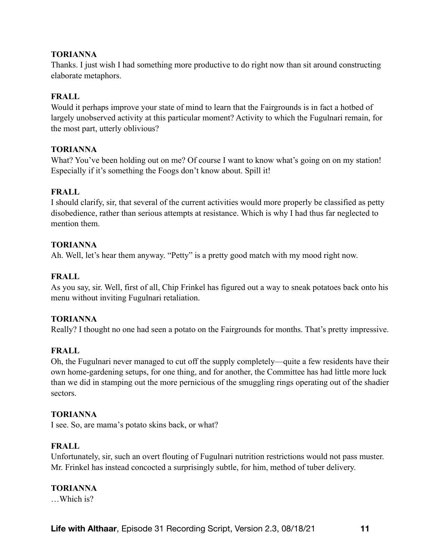Thanks. I just wish I had something more productive to do right now than sit around constructing elaborate metaphors.

### **FRALL**

Would it perhaps improve your state of mind to learn that the Fairgrounds is in fact a hotbed of largely unobserved activity at this particular moment? Activity to which the Fugulnari remain, for the most part, utterly oblivious?

### **TORIANNA**

What? You've been holding out on me? Of course I want to know what's going on on my station! Especially if it's something the Foogs don't know about. Spill it!

### **FRALL**

I should clarify, sir, that several of the current activities would more properly be classified as petty disobedience, rather than serious attempts at resistance. Which is why I had thus far neglected to mention them.

### **TORIANNA**

Ah. Well, let's hear them anyway. "Petty" is a pretty good match with my mood right now.

# **FRALL**

As you say, sir. Well, first of all, Chip Frinkel has figured out a way to sneak potatoes back onto his menu without inviting Fugulnari retaliation.

### **TORIANNA**

Really? I thought no one had seen a potato on the Fairgrounds for months. That's pretty impressive.

### **FRALL**

Oh, the Fugulnari never managed to cut off the supply completely—quite a few residents have their own home-gardening setups, for one thing, and for another, the Committee has had little more luck than we did in stamping out the more pernicious of the smuggling rings operating out of the shadier sectors.

### **TORIANNA**

I see. So, are mama's potato skins back, or what?

### **FRALL**

Unfortunately, sir, such an overt flouting of Fugulnari nutrition restrictions would not pass muster. Mr. Frinkel has instead concocted a surprisingly subtle, for him, method of tuber delivery.

### **TORIANNA**

…Which is?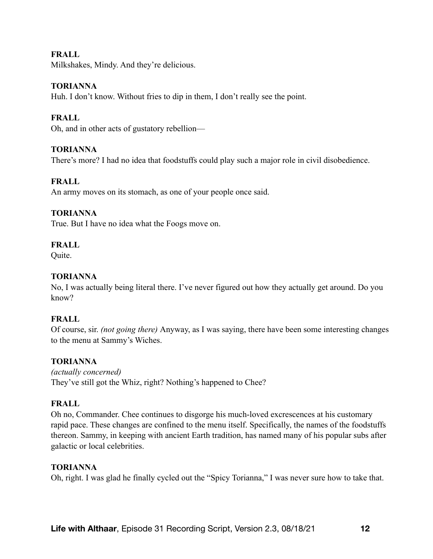Milkshakes, Mindy. And they're delicious.

### **TORIANNA**

Huh. I don't know. Without fries to dip in them, I don't really see the point.

### **FRALL**

Oh, and in other acts of gustatory rebellion—

### **TORIANNA**

There's more? I had no idea that foodstuffs could play such a major role in civil disobedience.

### **FRALL**

An army moves on its stomach, as one of your people once said.

### **TORIANNA**

True. But I have no idea what the Foogs move on.

### **FRALL**

Quite.

### **TORIANNA**

No, I was actually being literal there. I've never figured out how they actually get around. Do you know?

### **FRALL**

Of course, sir. *(not going there)* Anyway, as I was saying, there have been some interesting changes to the menu at Sammy's Wiches.

### **TORIANNA**

*(actually concerned)*  They've still got the Whiz, right? Nothing's happened to Chee?

### **FRALL**

Oh no, Commander. Chee continues to disgorge his much-loved excrescences at his customary rapid pace. These changes are confined to the menu itself. Specifically, the names of the foodstuffs thereon. Sammy, in keeping with ancient Earth tradition, has named many of his popular subs after galactic or local celebrities.

### **TORIANNA**

Oh, right. I was glad he finally cycled out the "Spicy Torianna," I was never sure how to take that.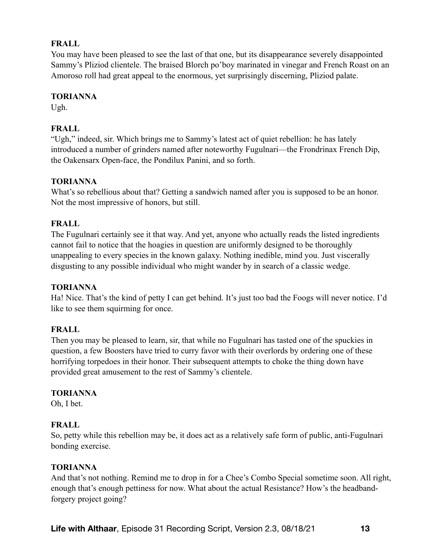You may have been pleased to see the last of that one, but its disappearance severely disappointed Sammy's Pliziod clientele. The braised Blorch po'boy marinated in vinegar and French Roast on an Amoroso roll had great appeal to the enormous, yet surprisingly discerning, Pliziod palate.

### **TORIANNA**

Ugh.

# **FRALL**

"Ugh," indeed, sir. Which brings me to Sammy's latest act of quiet rebellion: he has lately introduced a number of grinders named after noteworthy Fugulnari—the Frondrinax French Dip, the Oakensarx Open-face, the Pondilux Panini, and so forth.

### **TORIANNA**

What's so rebellious about that? Getting a sandwich named after you is supposed to be an honor. Not the most impressive of honors, but still.

### **FRALL**

The Fugulnari certainly see it that way. And yet, anyone who actually reads the listed ingredients cannot fail to notice that the hoagies in question are uniformly designed to be thoroughly unappealing to every species in the known galaxy. Nothing inedible, mind you. Just viscerally disgusting to any possible individual who might wander by in search of a classic wedge.

### **TORIANNA**

Ha! Nice. That's the kind of petty I can get behind. It's just too bad the Foogs will never notice. I'd like to see them squirming for once.

### **FRALL**

Then you may be pleased to learn, sir, that while no Fugulnari has tasted one of the spuckies in question, a few Boosters have tried to curry favor with their overlords by ordering one of these horrifying torpedoes in their honor. Their subsequent attempts to choke the thing down have provided great amusement to the rest of Sammy's clientele.

### **TORIANNA**

Oh, I bet.

### **FRALL**

So, petty while this rebellion may be, it does act as a relatively safe form of public, anti-Fugulnari bonding exercise.

### **TORIANNA**

And that's not nothing. Remind me to drop in for a Chee's Combo Special sometime soon. All right, enough that's enough pettiness for now. What about the actual Resistance? How's the headbandforgery project going?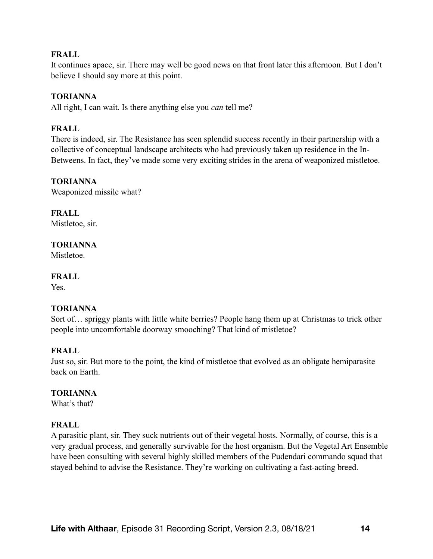It continues apace, sir. There may well be good news on that front later this afternoon. But I don't believe I should say more at this point.

### **TORIANNA**

All right, I can wait. Is there anything else you *can* tell me?

### **FRALL**

There is indeed, sir. The Resistance has seen splendid success recently in their partnership with a collective of conceptual landscape architects who had previously taken up residence in the In-Betweens. In fact, they've made some very exciting strides in the arena of weaponized mistletoe.

### **TORIANNA**

Weaponized missile what?

**FRALL**  Mistletoe, sir.

# **TORIANNA**

**Mistletoe** 

### **FRALL**

Yes.

### **TORIANNA**

Sort of… spriggy plants with little white berries? People hang them up at Christmas to trick other people into uncomfortable doorway smooching? That kind of mistletoe?

### **FRALL**

Just so, sir. But more to the point, the kind of mistletoe that evolved as an obligate hemiparasite back on Earth.

### **TORIANNA**

What's that?

### **FRALL**

A parasitic plant, sir. They suck nutrients out of their vegetal hosts. Normally, of course, this is a very gradual process, and generally survivable for the host organism. But the Vegetal Art Ensemble have been consulting with several highly skilled members of the Pudendari commando squad that stayed behind to advise the Resistance. They're working on cultivating a fast-acting breed.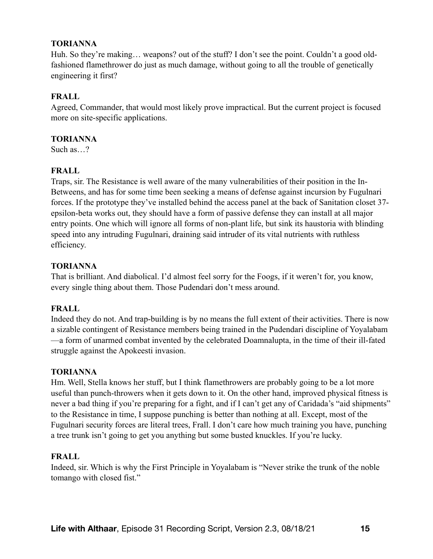Huh. So they're making... weapons? out of the stuff? I don't see the point. Couldn't a good oldfashioned flamethrower do just as much damage, without going to all the trouble of genetically engineering it first?

### **FRALL**

Agreed, Commander, that would most likely prove impractical. But the current project is focused more on site-specific applications.

### **TORIANNA**

Such as  $\sqrt{2}$ 

# **FRALL**

Traps, sir. The Resistance is well aware of the many vulnerabilities of their position in the In-Betweens, and has for some time been seeking a means of defense against incursion by Fugulnari forces. If the prototype they've installed behind the access panel at the back of Sanitation closet 37 epsilon-beta works out, they should have a form of passive defense they can install at all major entry points. One which will ignore all forms of non-plant life, but sink its haustoria with blinding speed into any intruding Fugulnari, draining said intruder of its vital nutrients with ruthless efficiency.

### **TORIANNA**

That is brilliant. And diabolical. I'd almost feel sorry for the Foogs, if it weren't for, you know, every single thing about them. Those Pudendari don't mess around.

# **FRALL**

Indeed they do not. And trap-building is by no means the full extent of their activities. There is now a sizable contingent of Resistance members being trained in the Pudendari discipline of Yoyalabam —a form of unarmed combat invented by the celebrated Doamnalupta, in the time of their ill-fated struggle against the Apokeesti invasion.

### **TORIANNA**

Hm. Well, Stella knows her stuff, but I think flamethrowers are probably going to be a lot more useful than punch-throwers when it gets down to it. On the other hand, improved physical fitness is never a bad thing if you're preparing for a fight, and if I can't get any of Caridada's "aid shipments" to the Resistance in time, I suppose punching is better than nothing at all. Except, most of the Fugulnari security forces are literal trees, Frall. I don't care how much training you have, punching a tree trunk isn't going to get you anything but some busted knuckles. If you're lucky.

### **FRALL**

Indeed, sir. Which is why the First Principle in Yoyalabam is "Never strike the trunk of the noble tomango with closed fist."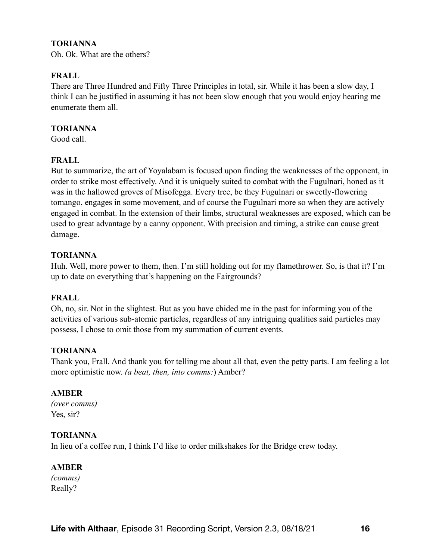Oh. Ok. What are the others?

### **FRALL**

There are Three Hundred and Fifty Three Principles in total, sir. While it has been a slow day, I think I can be justified in assuming it has not been slow enough that you would enjoy hearing me enumerate them all.

### **TORIANNA**

Good call.

### **FRALL**

But to summarize, the art of Yoyalabam is focused upon finding the weaknesses of the opponent, in order to strike most effectively. And it is uniquely suited to combat with the Fugulnari, honed as it was in the hallowed groves of Misofegga. Every tree, be they Fugulnari or sweetly-flowering tomango, engages in some movement, and of course the Fugulnari more so when they are actively engaged in combat. In the extension of their limbs, structural weaknesses are exposed, which can be used to great advantage by a canny opponent. With precision and timing, a strike can cause great damage.

### **TORIANNA**

Huh. Well, more power to them, then. I'm still holding out for my flamethrower. So, is that it? I'm up to date on everything that's happening on the Fairgrounds?

### **FRALL**

Oh, no, sir. Not in the slightest. But as you have chided me in the past for informing you of the activities of various sub-atomic particles, regardless of any intriguing qualities said particles may possess, I chose to omit those from my summation of current events.

### **TORIANNA**

Thank you, Frall. And thank you for telling me about all that, even the petty parts. I am feeling a lot more optimistic now. *(a beat, then, into comms:*) Amber?

### **AMBER**

*(over comms)*  Yes, sir?

### **TORIANNA**

In lieu of a coffee run, I think I'd like to order milkshakes for the Bridge crew today.

### **AMBER**

*(comms)*  Really?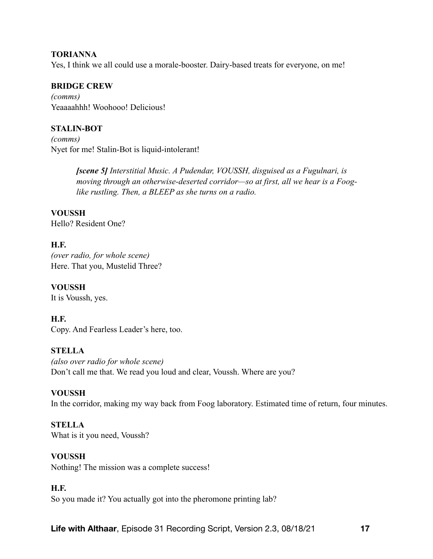Yes, I think we all could use a morale-booster. Dairy-based treats for everyone, on me!

### **BRIDGE CREW**

*(comms)*  Yeaaaahhh! Woohooo! Delicious!

### **STALIN-BOT**

*(comms)*  Nyet for me! Stalin-Bot is liquid-intolerant!

> *[scene 5] Interstitial Music. A Pudendar, VOUSSH, disguised as a Fugulnari, is moving through an otherwise-deserted corridor—so at first, all we hear is a Fooglike rustling. Then, a BLEEP as she turns on a radio.*

**VOUSSH**  Hello? Resident One?

### **H.F.**

*(over radio, for whole scene)*  Here. That you, Mustelid Three?

**VOUSSH**  It is Voussh, yes.

### **H.F.**

Copy. And Fearless Leader's here, too.

### **STELLA**

*(also over radio for whole scene)*  Don't call me that. We read you loud and clear, Voussh. Where are you?

### **VOUSSH**

In the corridor, making my way back from Foog laboratory. Estimated time of return, four minutes.

### **STELLA**

What is it you need, Voussh?

#### **VOUSSH**

Nothing! The mission was a complete success!

#### **H.F.**

So you made it? You actually got into the pheromone printing lab?

**Life with Althaar**, Episode 31 Recording Script, Version 2.3, 08/18/21 **17**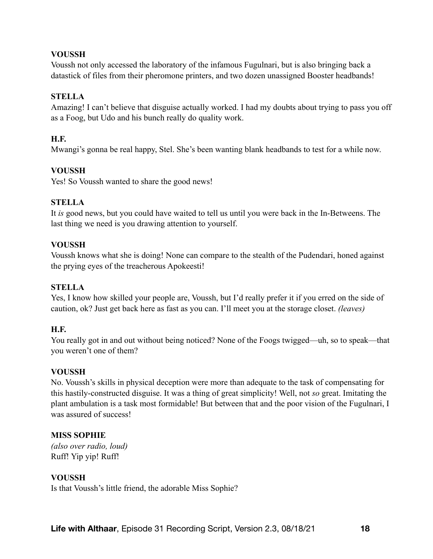### **VOUSSH**

Voussh not only accessed the laboratory of the infamous Fugulnari, but is also bringing back a datastick of files from their pheromone printers, and two dozen unassigned Booster headbands!

### **STELLA**

Amazing! I can't believe that disguise actually worked. I had my doubts about trying to pass you off as a Foog, but Udo and his bunch really do quality work.

### **H.F.**

Mwangi's gonna be real happy, Stel. She's been wanting blank headbands to test for a while now.

### **VOUSSH**

Yes! So Voussh wanted to share the good news!

### **STELLA**

It *is* good news, but you could have waited to tell us until you were back in the In-Betweens. The last thing we need is you drawing attention to yourself.

### **VOUSSH**

Voussh knows what she is doing! None can compare to the stealth of the Pudendari, honed against the prying eyes of the treacherous Apokeesti!

### **STELLA**

Yes, I know how skilled your people are, Voussh, but I'd really prefer it if you erred on the side of caution, ok? Just get back here as fast as you can. I'll meet you at the storage closet. *(leaves)* 

### **H.F.**

You really got in and out without being noticed? None of the Foogs twigged—uh, so to speak—that you weren't one of them?

### **VOUSSH**

No. Voussh's skills in physical deception were more than adequate to the task of compensating for this hastily-constructed disguise. It was a thing of great simplicity! Well, not *so* great. Imitating the plant ambulation is a task most formidable! But between that and the poor vision of the Fugulnari, I was assured of success!

### **MISS SOPHIE**

*(also over radio, loud)*  Ruff! Yip yip! Ruff!

### **VOUSSH**

Is that Voussh's little friend, the adorable Miss Sophie?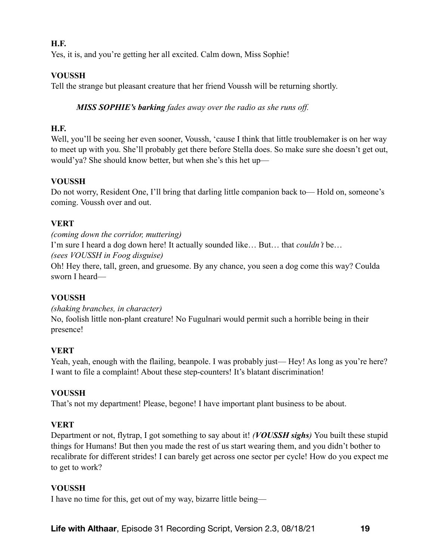### **H.F.**

Yes, it is, and you're getting her all excited. Calm down, Miss Sophie!

### **VOUSSH**

Tell the strange but pleasant creature that her friend Voussh will be returning shortly.

### *MISS SOPHIE's barking fades away over the radio as she runs off.*

# **H.F.**

Well, you'll be seeing her even sooner, Voussh, 'cause I think that little troublemaker is on her way to meet up with you. She'll probably get there before Stella does. So make sure she doesn't get out, would'ya? She should know better, but when she's this het up—

### **VOUSSH**

Do not worry, Resident One, I'll bring that darling little companion back to— Hold on, someone's coming. Voussh over and out.

### **VERT**

*(coming down the corridor, muttering)*  I'm sure I heard a dog down here! It actually sounded like… But… that *couldn't* be… *(sees VOUSSH in Foog disguise)*  Oh! Hey there, tall, green, and gruesome. By any chance, you seen a dog come this way? Coulda sworn I heard—

### **VOUSSH**

*(shaking branches, in character)*  No, foolish little non-plant creature! No Fugulnari would permit such a horrible being in their presence!

# **VERT**

Yeah, yeah, enough with the flailing, beanpole. I was probably just— Hey! As long as you're here? I want to file a complaint! About these step-counters! It's blatant discrimination!

### **VOUSSH**

That's not my department! Please, begone! I have important plant business to be about.

# **VERT**

Department or not, flytrap, I got something to say about it! *(VOUSSH sighs)* You built these stupid things for Humans! But then you made the rest of us start wearing them, and you didn't bother to recalibrate for different strides! I can barely get across one sector per cycle! How do you expect me to get to work?

### **VOUSSH**

I have no time for this, get out of my way, bizarre little being—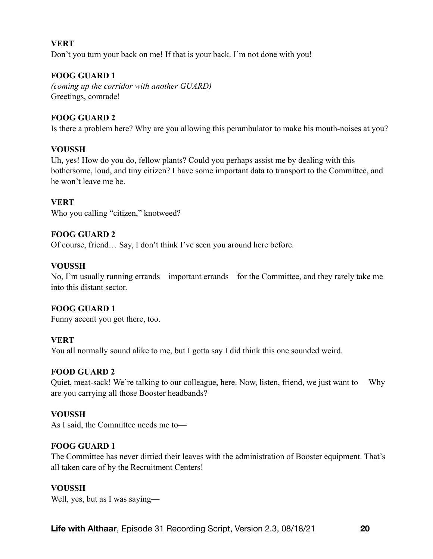### **VERT**

Don't you turn your back on me! If that is your back. I'm not done with you!

### **FOOG GUARD 1**

*(coming up the corridor with another GUARD)*  Greetings, comrade!

### **FOOG GUARD 2**

Is there a problem here? Why are you allowing this perambulator to make his mouth-noises at you?

### **VOUSSH**

Uh, yes! How do you do, fellow plants? Could you perhaps assist me by dealing with this bothersome, loud, and tiny citizen? I have some important data to transport to the Committee, and he won't leave me be.

### **VERT**

Who you calling "citizen," knotweed?

### **FOOG GUARD 2**

Of course, friend… Say, I don't think I've seen you around here before.

### **VOUSSH**

No, I'm usually running errands—important errands—for the Committee, and they rarely take me into this distant sector.

### **FOOG GUARD 1**

Funny accent you got there, too.

### **VERT**

You all normally sound alike to me, but I gotta say I did think this one sounded weird.

### **FOOD GUARD 2**

Quiet, meat-sack! We're talking to our colleague, here. Now, listen, friend, we just want to— Why are you carrying all those Booster headbands?

### **VOUSSH**

As I said, the Committee needs me to—

### **FOOG GUARD 1**

The Committee has never dirtied their leaves with the administration of Booster equipment. That's all taken care of by the Recruitment Centers!

### **VOUSSH**

Well, yes, but as I was saying—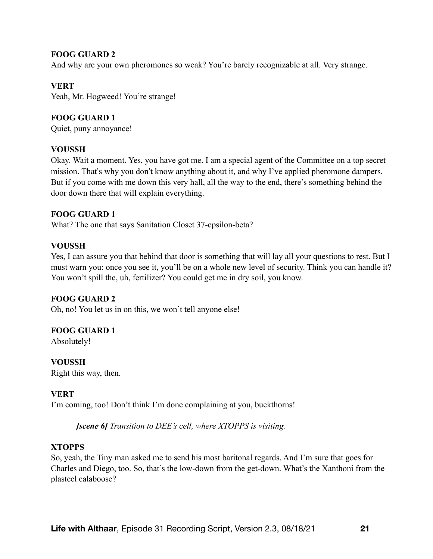### **FOOG GUARD 2**

And why are your own pheromones so weak? You're barely recognizable at all. Very strange.

### **VERT**

Yeah, Mr. Hogweed! You're strange!

### **FOOG GUARD 1**

Quiet, puny annoyance!

### **VOUSSH**

Okay. Wait a moment. Yes, you have got me. I am a special agent of the Committee on a top secret mission. That's why you don't know anything about it, and why I've applied pheromone dampers. But if you come with me down this very hall, all the way to the end, there's something behind the door down there that will explain everything.

### **FOOG GUARD 1**

What? The one that says Sanitation Closet 37-epsilon-beta?

### **VOUSSH**

Yes, I can assure you that behind that door is something that will lay all your questions to rest. But I must warn you: once you see it, you'll be on a whole new level of security. Think you can handle it? You won't spill the, uh, fertilizer? You could get me in dry soil, you know.

### **FOOG GUARD 2**

Oh, no! You let us in on this, we won't tell anyone else!

### **FOOG GUARD 1**

Absolutely!

### **VOUSSH**

Right this way, then.

# **VERT**

I'm coming, too! Don't think I'm done complaining at you, buckthorns!

*[scene 6] Transition to DEE's cell, where XTOPPS is visiting.* 

### **XTOPPS**

So, yeah, the Tiny man asked me to send his most baritonal regards. And I'm sure that goes for Charles and Diego, too. So, that's the low-down from the get-down. What's the Xanthoni from the plasteel calaboose?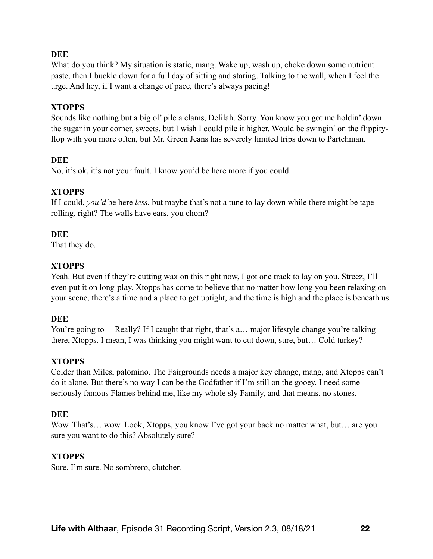What do you think? My situation is static, mang. Wake up, wash up, choke down some nutrient paste, then I buckle down for a full day of sitting and staring. Talking to the wall, when I feel the urge. And hey, if I want a change of pace, there's always pacing!

### **XTOPPS**

Sounds like nothing but a big ol' pile a clams, Delilah. Sorry. You know you got me holdin' down the sugar in your corner, sweets, but I wish I could pile it higher. Would be swingin' on the flippityflop with you more often, but Mr. Green Jeans has severely limited trips down to Partchman.

### **DEE**

No, it's ok, it's not your fault. I know you'd be here more if you could.

### **XTOPPS**

If I could, *you'd* be here *less*, but maybe that's not a tune to lay down while there might be tape rolling, right? The walls have ears, you chom?

### **DEE**

That they do.

### **XTOPPS**

Yeah. But even if they're cutting wax on this right now, I got one track to lay on you. Streez, I'll even put it on long-play. Xtopps has come to believe that no matter how long you been relaxing on your scene, there's a time and a place to get uptight, and the time is high and the place is beneath us.

### **DEE**

You're going to— Really? If I caught that right, that's a... major lifestyle change you're talking there, Xtopps. I mean, I was thinking you might want to cut down, sure, but… Cold turkey?

### **XTOPPS**

Colder than Miles, palomino. The Fairgrounds needs a major key change, mang, and Xtopps can't do it alone. But there's no way I can be the Godfather if I'm still on the gooey. I need some seriously famous Flames behind me, like my whole sly Family, and that means, no stones.

### **DEE**

Wow. That's... wow. Look, Xtopps, you know I've got your back no matter what, but... are you sure you want to do this? Absolutely sure?

### **XTOPPS**

Sure, I'm sure. No sombrero, clutcher.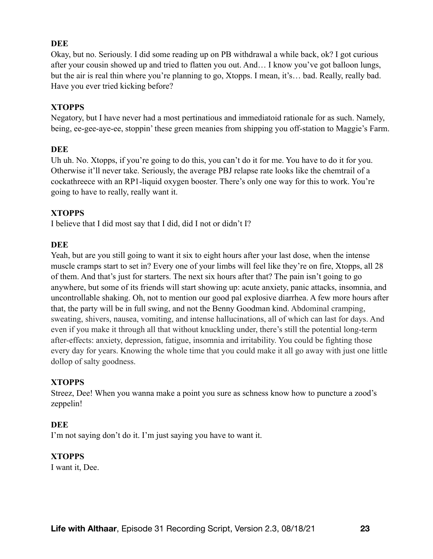Okay, but no. Seriously. I did some reading up on PB withdrawal a while back, ok? I got curious after your cousin showed up and tried to flatten you out. And… I know you've got balloon lungs, but the air is real thin where you're planning to go, Xtopps. I mean, it's… bad. Really, really bad. Have you ever tried kicking before?

### **XTOPPS**

Negatory, but I have never had a most pertinatious and immediatoid rationale for as such. Namely, being, ee-gee-aye-ee, stoppin' these green meanies from shipping you off-station to Maggie's Farm.

### **DEE**

Uh uh. No. Xtopps, if you're going to do this, you can't do it for me. You have to do it for you. Otherwise it'll never take. Seriously, the average PBJ relapse rate looks like the chemtrail of a cockathreece with an RP1-liquid oxygen booster. There's only one way for this to work. You're going to have to really, really want it.

### **XTOPPS**

I believe that I did most say that I did, did I not or didn't I?

### **DEE**

Yeah, but are you still going to want it six to eight hours after your last dose, when the intense muscle cramps start to set in? Every one of your limbs will feel like they're on fire, Xtopps, all 28 of them. And that's just for starters. The next six hours after that? The pain isn't going to go anywhere, but some of its friends will start showing up: acute anxiety, panic attacks, insomnia, and uncontrollable shaking. Oh, not to mention our good pal explosive diarrhea. A few more hours after that, the party will be in full swing, and not the Benny Goodman kind. Abdominal cramping, sweating, shivers, nausea, vomiting, and intense hallucinations, all of which can last for days. And even if you make it through all that without knuckling under, there's still the potential long-term after-effects: anxiety, depression, fatigue, insomnia and irritability. You could be fighting those every day for years. Knowing the whole time that you could make it all go away with just one little dollop of salty goodness.

# **XTOPPS**

Streez, Dee! When you wanna make a point you sure as schness know how to puncture a zood's zeppelin!

### **DEE**

I'm not saying don't do it. I'm just saying you have to want it.

### **XTOPPS**

I want it, Dee.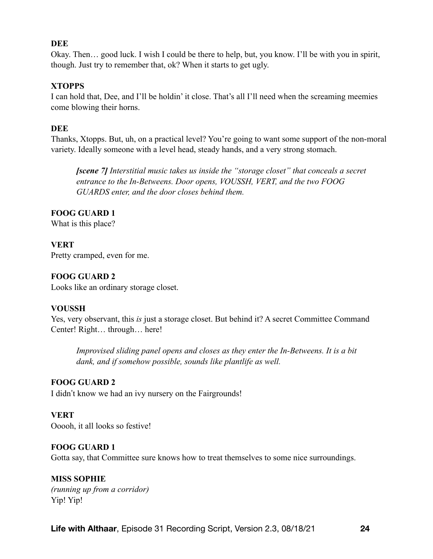Okay. Then… good luck. I wish I could be there to help, but, you know. I'll be with you in spirit, though. Just try to remember that, ok? When it starts to get ugly.

#### **XTOPPS**

I can hold that, Dee, and I'll be holdin' it close. That's all I'll need when the screaming meemies come blowing their horns.

### **DEE**

Thanks, Xtopps. But, uh, on a practical level? You're going to want some support of the non-moral variety. Ideally someone with a level head, steady hands, and a very strong stomach.

*[scene 7] Interstitial music takes us inside the "storage closet" that conceals a secret entrance to the In-Betweens. Door opens, VOUSSH, VERT, and the two FOOG GUARDS enter, and the door closes behind them.* 

### **FOOG GUARD 1**

What is this place?

# **VERT**

Pretty cramped, even for me.

### **FOOG GUARD 2**

Looks like an ordinary storage closet.

### **VOUSSH**

Yes, very observant, this *is* just a storage closet. But behind it? A secret Committee Command Center! Right… through… here!

*Improvised sliding panel opens and closes as they enter the In-Betweens. It is a bit dank, and if somehow possible, sounds like plantlife as well.* 

### **FOOG GUARD 2**

I didn't know we had an ivy nursery on the Fairgrounds!

### **VERT**

Ooooh, it all looks so festive!

### **FOOG GUARD 1**

Gotta say, that Committee sure knows how to treat themselves to some nice surroundings.

### **MISS SOPHIE**

*(running up from a corridor)*  Yip! Yip!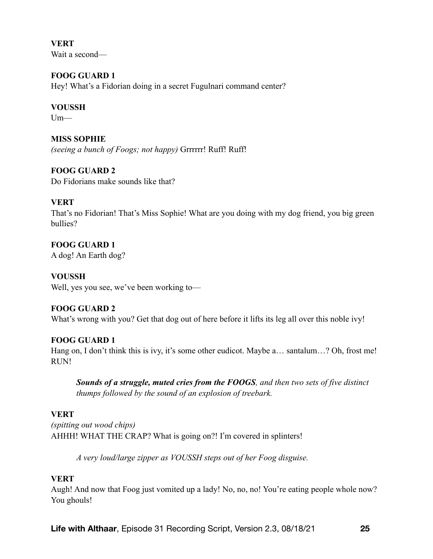**VERT**  Wait a second—

**FOOG GUARD 1**  Hey! What's a Fidorian doing in a secret Fugulnari command center?

### **VOUSSH**

 $Um$ —

**MISS SOPHIE**  *(seeing a bunch of Foogs; not happy)* Grrrrrr! Ruff! Ruff!

**FOOG GUARD 2**  Do Fidorians make sounds like that?

### **VERT**

That's no Fidorian! That's Miss Sophie! What are you doing with my dog friend, you big green bullies?

**FOOG GUARD 1**  A dog! An Earth dog?

**VOUSSH**  Well, yes you see, we've been working to—

### **FOOG GUARD 2**

What's wrong with you? Get that dog out of here before it lifts its leg all over this noble ivy!

### **FOOG GUARD 1**

Hang on, I don't think this is ivy, it's some other eudicot. Maybe a... santalum...? Oh, frost me! RUN!

*Sounds of a struggle, muted cries from the FOOGS, and then two sets of five distinct thumps followed by the sound of an explosion of treebark.* 

#### **VERT**

*(spitting out wood chips)*  AHHH! WHAT THE CRAP? What is going on?! I'm covered in splinters!

*A very loud/large zipper as VOUSSH steps out of her Foog disguise.* 

### **VERT**

Augh! And now that Foog just vomited up a lady! No, no, no! You're eating people whole now? You ghouls!

**Life with Althaar**, Episode 31 Recording Script, Version 2.3, 08/18/21 **25**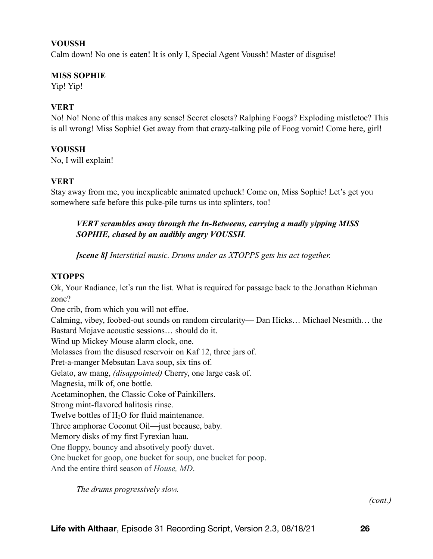#### **VOUSSH**

Calm down! No one is eaten! It is only I, Special Agent Voussh! Master of disguise!

#### **MISS SOPHIE**

Yip! Yip!

#### **VERT**

No! No! None of this makes any sense! Secret closets? Ralphing Foogs? Exploding mistletoe? This is all wrong! Miss Sophie! Get away from that crazy-talking pile of Foog vomit! Come here, girl!

#### **VOUSSH**

No, I will explain!

#### **VERT**

Stay away from me, you inexplicable animated upchuck! Come on, Miss Sophie! Let's get you somewhere safe before this puke-pile turns us into splinters, too!

### *VERT scrambles away through the In-Betweens, carrying a madly yipping MISS SOPHIE, chased by an audibly angry VOUSSH.*

*[scene 8] Interstitial music. Drums under as XTOPPS gets his act together.* 

#### **XTOPPS**

Ok, Your Radiance, let's run the list. What is required for passage back to the Jonathan Richman zone?

One crib, from which you will not effoe. Calming, vibey, foobed-out sounds on random circularity— Dan Hicks… Michael Nesmith… the Bastard Mojave acoustic sessions… should do it. Wind up Mickey Mouse alarm clock, one. Molasses from the disused reservoir on Kaf 12, three jars of. Pret-a-manger Mebsutan Lava soup, six tins of. Gelato, aw mang, *(disappointed)* Cherry, one large cask of. Magnesia, milk of, one bottle. Acetaminophen, the Classic Coke of Painkillers. Strong mint-flavored halitosis rinse. Twelve bottles of H<sub>2</sub>O for fluid maintenance. Three amphorae Coconut Oil—just because, baby. Memory disks of my first Fyrexian luau. One floppy, bouncy and absotively poofy duvet. One bucket for goop, one bucket for soup, one bucket for poop. And the entire third season of *House, MD*.

*The drums progressively slow.* 

*(cont.)*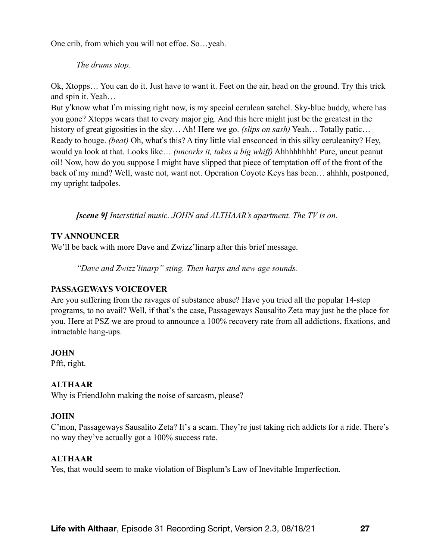One crib, from which you will not effoe. So…yeah.

#### *The drums stop.*

Ok, Xtopps… You can do it. Just have to want it. Feet on the air, head on the ground. Try this trick and spin it. Yeah…

But y'know what I'm missing right now, is my special cerulean satchel. Sky-blue buddy, where has you gone? Xtopps wears that to every major gig. And this here might just be the greatest in the history of great gigosities in the sky… Ah! Here we go. *(slips on sash)* Yeah… Totally patic… Ready to bouge. *(beat)* Oh, what's this? A tiny little vial ensconced in this silky ceruleanity? Hey, would ya look at that. Looks like… *(uncorks it, takes a big whiff)* Ahhhhhhhh! Pure, uncut peanut oil! Now, how do you suppose I might have slipped that piece of temptation off of the front of the back of my mind? Well, waste not, want not. Operation Coyote Keys has been… ahhhh, postponed, my upright tadpoles.

*[scene 9] Interstitial music. JOHN and ALTHAAR's apartment. The TV is on.* 

### **TV ANNOUNCER**

We'll be back with more Dave and Zwizz'linarp after this brief message.

*"Dave and Zwizz'linarp" sting. Then harps and new age sounds.* 

### **PASSAGEWAYS VOICEOVER**

Are you suffering from the ravages of substance abuse? Have you tried all the popular 14-step programs, to no avail? Well, if that's the case, Passageways Sausalito Zeta may just be the place for you. Here at PSZ we are proud to announce a 100% recovery rate from all addictions, fixations, and intractable hang-ups.

### **JOHN**

Pfft, right.

### **ALTHAAR**

Why is FriendJohn making the noise of sarcasm, please?

### **JOHN**

C'mon, Passageways Sausalito Zeta? It's a scam. They're just taking rich addicts for a ride. There's no way they've actually got a 100% success rate.

### **ALTHAAR**

Yes, that would seem to make violation of Bisplum's Law of Inevitable Imperfection.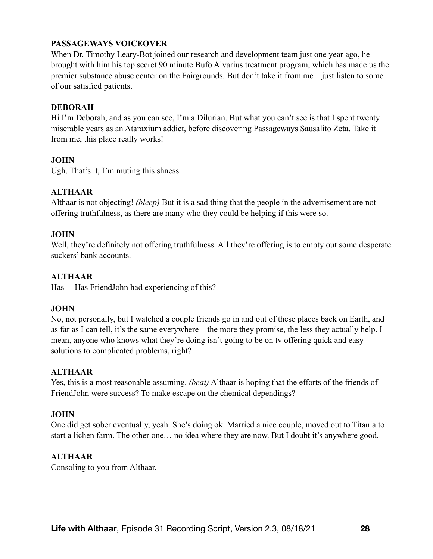# **PASSAGEWAYS VOICEOVER**

When Dr. Timothy Leary-Bot joined our research and development team just one year ago, he brought with him his top secret 90 minute Bufo Alvarius treatment program, which has made us the premier substance abuse center on the Fairgrounds. But don't take it from me—just listen to some of our satisfied patients.

### **DEBORAH**

Hi I'm Deborah, and as you can see, I'm a Dilurian. But what you can't see is that I spent twenty miserable years as an Ataraxium addict, before discovering Passageways Sausalito Zeta. Take it from me, this place really works!

### **JOHN**

Ugh. That's it, I'm muting this shness.

### **ALTHAAR**

Althaar is not objecting! *(bleep)* But it is a sad thing that the people in the advertisement are not offering truthfulness, as there are many who they could be helping if this were so.

### **JOHN**

Well, they're definitely not offering truthfulness. All they're offering is to empty out some desperate suckers' bank accounts.

### **ALTHAAR**

Has— Has FriendJohn had experiencing of this?

### **JOHN**

No, not personally, but I watched a couple friends go in and out of these places back on Earth, and as far as I can tell, it's the same everywhere—the more they promise, the less they actually help. I mean, anyone who knows what they're doing isn't going to be on tv offering quick and easy solutions to complicated problems, right?

# **ALTHAAR**

Yes, this is a most reasonable assuming. *(beat)* Althaar is hoping that the efforts of the friends of FriendJohn were success? To make escape on the chemical dependings?

### **JOHN**

One did get sober eventually, yeah. She's doing ok. Married a nice couple, moved out to Titania to start a lichen farm. The other one… no idea where they are now. But I doubt it's anywhere good.

### **ALTHAAR**

Consoling to you from Althaar.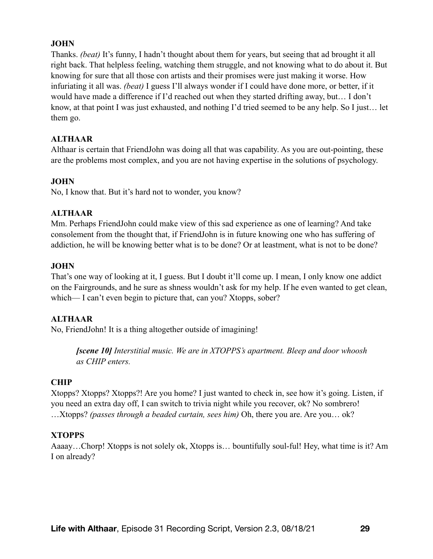### **JOHN**

Thanks. *(beat)* It's funny, I hadn't thought about them for years, but seeing that ad brought it all right back. That helpless feeling, watching them struggle, and not knowing what to do about it. But knowing for sure that all those con artists and their promises were just making it worse. How infuriating it all was. *(beat)* I guess I'll always wonder if I could have done more, or better, if it would have made a difference if I'd reached out when they started drifting away, but… I don't know, at that point I was just exhausted, and nothing I'd tried seemed to be any help. So I just… let them go.

### **ALTHAAR**

Althaar is certain that FriendJohn was doing all that was capability. As you are out-pointing, these are the problems most complex, and you are not having expertise in the solutions of psychology.

### **JOHN**

No, I know that. But it's hard not to wonder, you know?

### **ALTHAAR**

Mm. Perhaps FriendJohn could make view of this sad experience as one of learning? And take consolement from the thought that, if FriendJohn is in future knowing one who has suffering of addiction, he will be knowing better what is to be done? Or at leastment, what is not to be done?

### **JOHN**

That's one way of looking at it, I guess. But I doubt it'll come up. I mean, I only know one addict on the Fairgrounds, and he sure as shness wouldn't ask for my help. If he even wanted to get clean, which— I can't even begin to picture that, can you? Xtopps, sober?

### **ALTHAAR**

No, FriendJohn! It is a thing altogether outside of imagining!

*[scene 10] Interstitial music. We are in XTOPPS's apartment. Bleep and door whoosh as CHIP enters.* 

# **CHIP**

Xtopps? Xtopps? Xtopps?! Are you home? I just wanted to check in, see how it's going. Listen, if you need an extra day off, I can switch to trivia night while you recover, ok? No sombrero! …Xtopps? *(passes through a beaded curtain, sees him)* Oh, there you are. Are you… ok?

# **XTOPPS**

Aaaay…Chorp! Xtopps is not solely ok, Xtopps is… bountifully soul-ful! Hey, what time is it? Am I on already?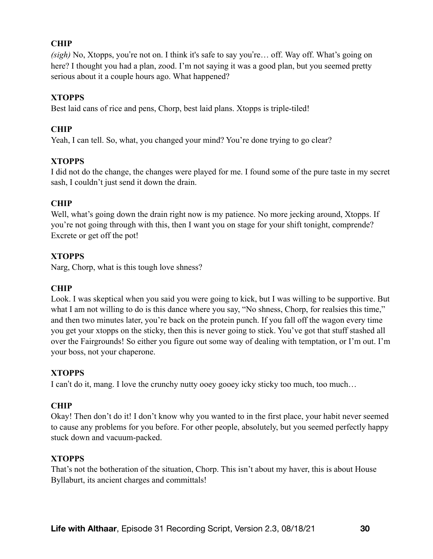# **CHIP**

*(sigh)* No, Xtopps, you're not on. I think it's safe to say you're… off. Way off. What's going on here? I thought you had a plan, zood. I'm not saying it was a good plan, but you seemed pretty serious about it a couple hours ago. What happened?

### **XTOPPS**

Best laid cans of rice and pens, Chorp, best laid plans. Xtopps is triple-tiled!

### **CHIP**

Yeah, I can tell. So, what, you changed your mind? You're done trying to go clear?

# **XTOPPS**

I did not do the change, the changes were played for me. I found some of the pure taste in my secret sash, I couldn't just send it down the drain.

# **CHIP**

Well, what's going down the drain right now is my patience. No more jecking around, Xtopps. If you're not going through with this, then I want you on stage for your shift tonight, comprende? Excrete or get off the pot!

### **XTOPPS**

Narg, Chorp, what is this tough love shness?

### **CHIP**

Look. I was skeptical when you said you were going to kick, but I was willing to be supportive. But what I am not willing to do is this dance where you say, "No shness, Chorp, for realsies this time," and then two minutes later, you're back on the protein punch. If you fall off the wagon every time you get your xtopps on the sticky, then this is never going to stick. You've got that stuff stashed all over the Fairgrounds! So either you figure out some way of dealing with temptation, or I'm out. I'm your boss, not your chaperone.

### **XTOPPS**

I can't do it, mang. I love the crunchy nutty ooey gooey icky sticky too much, too much…

# **CHIP**

Okay! Then don't do it! I don't know why you wanted to in the first place, your habit never seemed to cause any problems for you before. For other people, absolutely, but you seemed perfectly happy stuck down and vacuum-packed.

### **XTOPPS**

That's not the botheration of the situation, Chorp. This isn't about my haver, this is about House Byllaburt, its ancient charges and committals!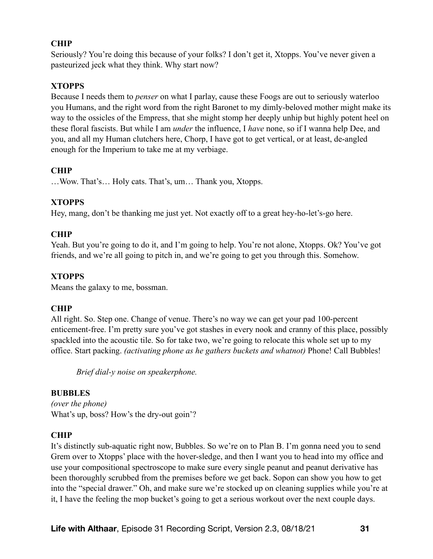# **CHIP**

Seriously? You're doing this because of your folks? I don't get it, Xtopps. You've never given a pasteurized jeck what they think. Why start now?

### **XTOPPS**

Because I needs them to *penser* on what I parlay, cause these Foogs are out to seriously waterloo you Humans, and the right word from the right Baronet to my dimly-beloved mother might make its way to the ossicles of the Empress, that she might stomp her deeply unhip but highly potent heel on these floral fascists. But while I am *under* the influence, I *have* none, so if I wanna help Dee, and you, and all my Human clutchers here, Chorp, I have got to get vertical, or at least, de-angled enough for the Imperium to take me at my verbiage.

### **CHIP**

…Wow. That's… Holy cats. That's, um… Thank you, Xtopps.

### **XTOPPS**

Hey, mang, don't be thanking me just yet. Not exactly off to a great hey-ho-let's-go here.

### **CHIP**

Yeah. But you're going to do it, and I'm going to help. You're not alone, Xtopps. Ok? You've got friends, and we're all going to pitch in, and we're going to get you through this. Somehow.

### **XTOPPS**

Means the galaxy to me, bossman.

### **CHIP**

All right. So. Step one. Change of venue. There's no way we can get your pad 100-percent enticement-free. I'm pretty sure you've got stashes in every nook and cranny of this place, possibly spackled into the acoustic tile. So for take two, we're going to relocate this whole set up to my office. Start packing. *(activating phone as he gathers buckets and whatnot)* Phone! Call Bubbles!

*Brief dial-y noise on speakerphone.* 

### **BUBBLES**

*(over the phone)*  What's up, boss? How's the dry-out goin'?

### **CHIP**

It's distinctly sub-aquatic right now, Bubbles. So we're on to Plan B. I'm gonna need you to send Grem over to Xtopps' place with the hover-sledge, and then I want you to head into my office and use your compositional spectroscope to make sure every single peanut and peanut derivative has been thoroughly scrubbed from the premises before we get back. Sopon can show you how to get into the "special drawer." Oh, and make sure we're stocked up on cleaning supplies while you're at it, I have the feeling the mop bucket's going to get a serious workout over the next couple days.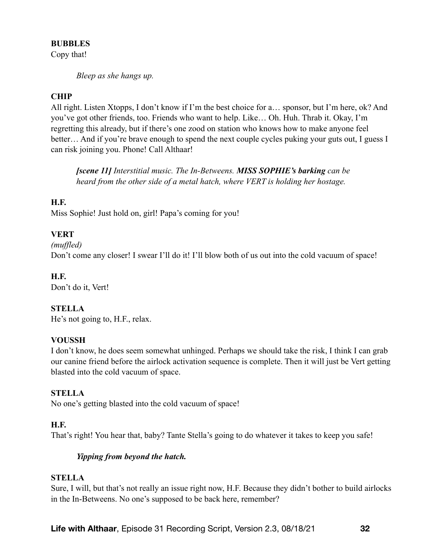### **BUBBLES**

Copy that!

*Bleep as she hangs up.* 

# **CHIP**

All right. Listen Xtopps, I don't know if I'm the best choice for a… sponsor, but I'm here, ok? And you've got other friends, too. Friends who want to help. Like… Oh. Huh. Thrab it. Okay, I'm regretting this already, but if there's one zood on station who knows how to make anyone feel better… And if you're brave enough to spend the next couple cycles puking your guts out, I guess I can risk joining you. Phone! Call Althaar!

*[scene 11] Interstitial music. The In-Betweens. MISS SOPHIE's barking can be heard from the other side of a metal hatch, where VERT is holding her hostage.* 

# **H.F.**

Miss Sophie! Just hold on, girl! Papa's coming for you!

# **VERT**

#### *(muffled)*

Don't come any closer! I swear I'll do it! I'll blow both of us out into the cold vacuum of space!

### **H.F.**

Don't do it, Vert!

# **STELLA**

He's not going to, H.F., relax.

### **VOUSSH**

I don't know, he does seem somewhat unhinged. Perhaps we should take the risk, I think I can grab our canine friend before the airlock activation sequence is complete. Then it will just be Vert getting blasted into the cold vacuum of space.

### **STELLA**

No one's getting blasted into the cold vacuum of space!

### **H.F.**

That's right! You hear that, baby? Tante Stella's going to do whatever it takes to keep you safe!

### *Yipping from beyond the hatch.*

### **STELLA**

Sure, I will, but that's not really an issue right now, H.F. Because they didn't bother to build airlocks in the In-Betweens. No one's supposed to be back here, remember?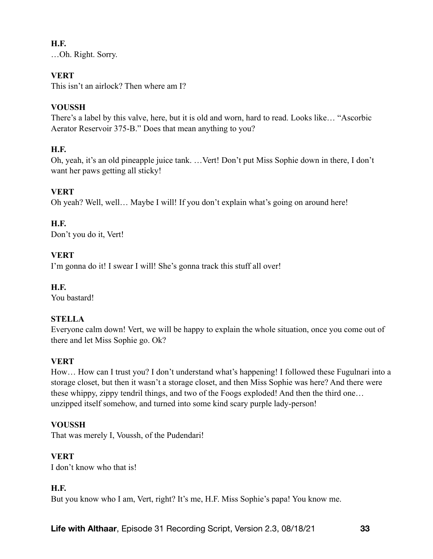# **H.F.**

…Oh. Right. Sorry.

# **VERT**

This isn't an airlock? Then where am I?

# **VOUSSH**

There's a label by this valve, here, but it is old and worn, hard to read. Looks like… "Ascorbic Aerator Reservoir 375-B." Does that mean anything to you?

# **H.F.**

Oh, yeah, it's an old pineapple juice tank. …Vert! Don't put Miss Sophie down in there, I don't want her paws getting all sticky!

# **VERT**

Oh yeah? Well, well… Maybe I will! If you don't explain what's going on around here!

# **H.F.**

Don't you do it, Vert!

# **VERT**

I'm gonna do it! I swear I will! She's gonna track this stuff all over!

# **H.F.**

You bastard!

# **STELLA**

Everyone calm down! Vert, we will be happy to explain the whole situation, once you come out of there and let Miss Sophie go. Ok?

# **VERT**

How… How can I trust you? I don't understand what's happening! I followed these Fugulnari into a storage closet, but then it wasn't a storage closet, and then Miss Sophie was here? And there were these whippy, zippy tendril things, and two of the Foogs exploded! And then the third one… unzipped itself somehow, and turned into some kind scary purple lady-person!

# **VOUSSH**

That was merely I, Voussh, of the Pudendari!

# **VERT**

I don't know who that is!

# **H.F.**

But you know who I am, Vert, right? It's me, H.F. Miss Sophie's papa! You know me.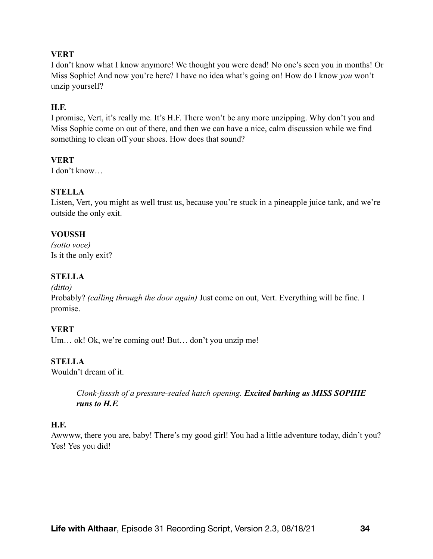### **VERT**

I don't know what I know anymore! We thought you were dead! No one's seen you in months! Or Miss Sophie! And now you're here? I have no idea what's going on! How do I know *you* won't unzip yourself?

### **H.F.**

I promise, Vert, it's really me. It's H.F. There won't be any more unzipping. Why don't you and Miss Sophie come on out of there, and then we can have a nice, calm discussion while we find something to clean off your shoes. How does that sound?

### **VERT**

I don't know…

# **STELLA**

Listen, Vert, you might as well trust us, because you're stuck in a pineapple juice tank, and we're outside the only exit.

### **VOUSSH**

*(sotto voce)* Is it the only exit?

# **STELLA**

#### *(ditto)*

Probably? *(calling through the door again)* Just come on out, Vert. Everything will be fine. I promise.

### **VERT**

Um... ok! Ok, we're coming out! But... don't you unzip me!

# **STELLA**

Wouldn't dream of it.

*Clonk-fssssh of a pressure-sealed hatch opening. Excited barking as MISS SOPHIE runs to H.F.*

### **H.F.**

Awwww, there you are, baby! There's my good girl! You had a little adventure today, didn't you? Yes! Yes you did!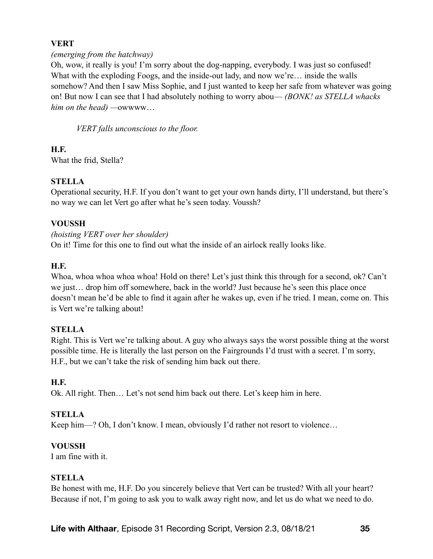### **VERT**

#### *(emerging from the hatchway)*

Oh, wow, it really is you! I'm sorry about the dog-napping, everybody. I was just so confused! What with the exploding Foogs, and the inside-out lady, and now we're… inside the walls somehow? And then I saw Miss Sophie, and I just wanted to keep her safe from whatever was going on! But now I can see that I had absolutely nothing to worry abou— *(BONK! as STELLA whacks him on the head) —*owwww…

*VERT falls unconscious to the floor.* 

**H.F.**  What the frid, Stella?

### **STELLA**

Operational security, H.F. If you don't want to get your own hands dirty, I'll understand, but there's no way we can let Vert go after what he's seen today. Voussh?

### **VOUSSH**

#### *(hoisting VERT over her shoulder)*

On it! Time for this one to find out what the inside of an airlock really looks like.

### **H.F.**

Whoa, whoa whoa whoa whoa! Hold on there! Let's just think this through for a second, ok? Can't we just… drop him off somewhere, back in the world? Just because he's seen this place once doesn't mean he'd be able to find it again after he wakes up, even if he tried. I mean, come on. This is Vert we're talking about!

### **STELLA**

Right. This is Vert we're talking about. A guy who always says the worst possible thing at the worst possible time. He is literally the last person on the Fairgrounds I'd trust with a secret. I'm sorry, H.F., but we can't take the risk of sending him back out there.

### **H.F.**

Ok. All right. Then… Let's not send him back out there. Let's keep him in here.

### **STELLA**

Keep him—? Oh, I don't know. I mean, obviously I'd rather not resort to violence...

### **VOUSSH**

I am fine with it.

### **STELLA**

Be honest with me, H.F. Do you sincerely believe that Vert can be trusted? With all your heart? Because if not, I'm going to ask you to walk away right now, and let us do what we need to do.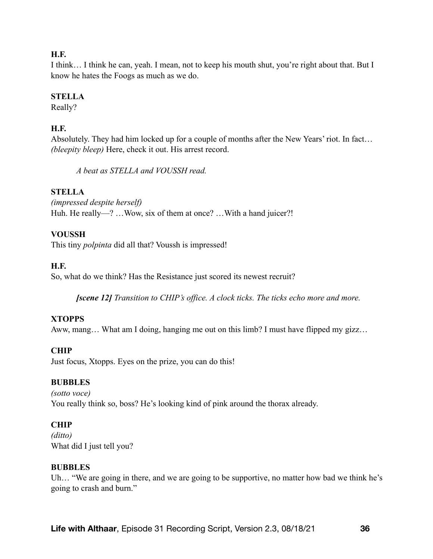### **H.F.**

I think… I think he can, yeah. I mean, not to keep his mouth shut, you're right about that. But I know he hates the Foogs as much as we do.

# **STELLA**

Really?

# **H.F.**

Absolutely. They had him locked up for a couple of months after the New Years' riot. In fact… *(bleepity bleep)* Here, check it out. His arrest record.

*A beat as STELLA and VOUSSH read.* 

# **STELLA**

*(impressed despite herself)* Huh. He really—? ... Wow, six of them at once? ... With a hand juicer?!

# **VOUSSH**

This tiny *polpinta* did all that? Voussh is impressed!

# **H.F.**

So, what do we think? Has the Resistance just scored its newest recruit?

*[scene 12] Transition to CHIP's office. A clock ticks. The ticks echo more and more.*

# **XTOPPS**

Aww, mang… What am I doing, hanging me out on this limb? I must have flipped my gizz…

# **CHIP**

Just focus, Xtopps. Eyes on the prize, you can do this!

# **BUBBLES**

*(sotto voce)*  You really think so, boss? He's looking kind of pink around the thorax already.

# **CHIP**

*(ditto)* What did I just tell you?

### **BUBBLES**

Uh… "We are going in there, and we are going to be supportive, no matter how bad we think he's going to crash and burn."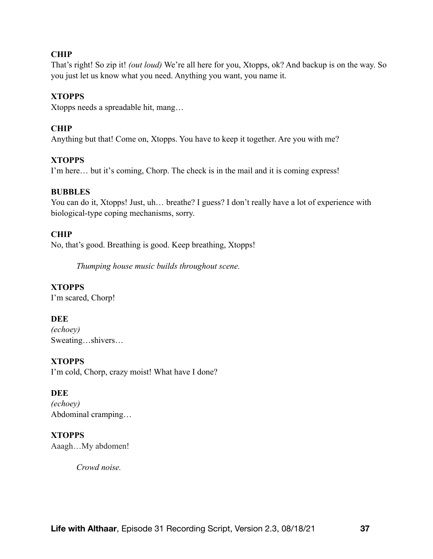### **CHIP**

That's right! So zip it! *(out loud)* We're all here for you, Xtopps, ok? And backup is on the way. So you just let us know what you need. Anything you want, you name it.

### **XTOPPS**

Xtopps needs a spreadable hit, mang…

# **CHIP**

Anything but that! Come on, Xtopps. You have to keep it together. Are you with me?

### **XTOPPS**

I'm here… but it's coming, Chorp. The check is in the mail and it is coming express!

### **BUBBLES**

You can do it, Xtopps! Just, uh... breathe? I guess? I don't really have a lot of experience with biological-type coping mechanisms, sorry.

# **CHIP**

No, that's good. Breathing is good. Keep breathing, Xtopps!

*Thumping house music builds throughout scene.* 

# **XTOPPS**

I'm scared, Chorp!

### **DEE**

*(echoey)*  Sweating…shivers…

### **XTOPPS**

I'm cold, Chorp, crazy moist! What have I done?

### **DEE**

*(echoey)*  Abdominal cramping…

### **XTOPPS**

Aaagh…My abdomen!

*Crowd noise.*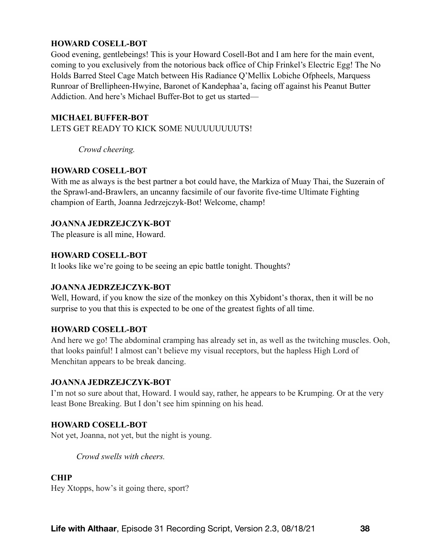### **HOWARD COSELL-BOT**

Good evening, gentlebeings! This is your Howard Cosell-Bot and I am here for the main event, coming to you exclusively from the notorious back office of Chip Frinkel's Electric Egg! The No Holds Barred Steel Cage Match between His Radiance Q'Mellix Lobiche Ofpheels, Marquess Runroar of Brellipheen-Hwyine, Baronet of Kandephaa'a, facing off against his Peanut Butter Addiction. And here's Michael Buffer-Bot to get us started—

#### **MICHAEL BUFFER-BOT**

LETS GET READY TO KICK SOME NUUUUUUUUTS!

 *Crowd cheering.* 

#### **HOWARD COSELL-BOT**

With me as always is the best partner a bot could have, the Markiza of Muay Thai, the Suzerain of the Sprawl-and-Brawlers, an uncanny facsimile of our favorite five-time Ultimate Fighting champion of Earth, Joanna Jedrzejczyk-Bot! Welcome, champ!

#### **JOANNA JEDRZEJCZYK-BOT**

The pleasure is all mine, Howard.

### **HOWARD COSELL-BOT**

It looks like we're going to be seeing an epic battle tonight. Thoughts?

### **JOANNA JEDRZEJCZYK-BOT**

Well, Howard, if you know the size of the monkey on this Xybidont's thorax, then it will be no surprise to you that this is expected to be one of the greatest fights of all time.

### **HOWARD COSELL-BOT**

And here we go! The abdominal cramping has already set in, as well as the twitching muscles. Ooh, that looks painful! I almost can't believe my visual receptors, but the hapless High Lord of Menchitan appears to be break dancing.

### **JOANNA JEDRZEJCZYK-BOT**

I'm not so sure about that, Howard. I would say, rather, he appears to be Krumping. Or at the very least Bone Breaking. But I don't see him spinning on his head.

#### **HOWARD COSELL-BOT**

Not yet, Joanna, not yet, but the night is young.

*Crowd swells with cheers.* 

#### **CHIP**

Hey Xtopps, how's it going there, sport?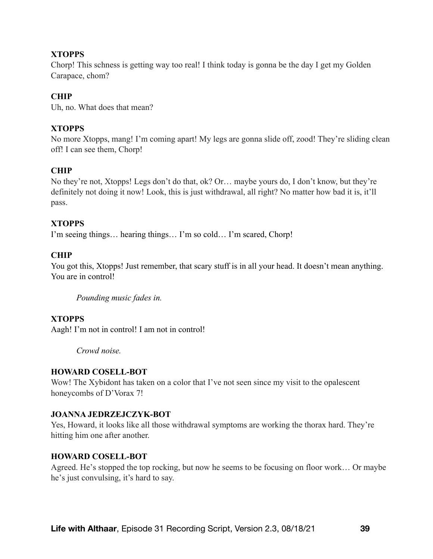# **XTOPPS**

Chorp! This schness is getting way too real! I think today is gonna be the day I get my Golden Carapace, chom?

### **CHIP**

Uh, no. What does that mean?

### **XTOPPS**

No more Xtopps, mang! I'm coming apart! My legs are gonna slide off, zood! They're sliding clean off! I can see them, Chorp!

# **CHIP**

No they're not, Xtopps! Legs don't do that, ok? Or… maybe yours do, I don't know, but they're definitely not doing it now! Look, this is just withdrawal, all right? No matter how bad it is, it'll pass.

### **XTOPPS**

I'm seeing things… hearing things… I'm so cold… I'm scared, Chorp!

### **CHIP**

You got this, Xtopps! Just remember, that scary stuff is in all your head. It doesn't mean anything. You are in control!

*Pounding music fades in.* 

### **XTOPPS**

Aagh! I'm not in control! I am not in control!

*Crowd noise.* 

### **HOWARD COSELL-BOT**

Wow! The Xybidont has taken on a color that I've not seen since my visit to the opalescent honeycombs of D'Vorax 7!

### **JOANNA JEDRZEJCZYK-BOT**

Yes, Howard, it looks like all those withdrawal symptoms are working the thorax hard. They're hitting him one after another.

### **HOWARD COSELL-BOT**

Agreed. He's stopped the top rocking, but now he seems to be focusing on floor work… Or maybe he's just convulsing, it's hard to say.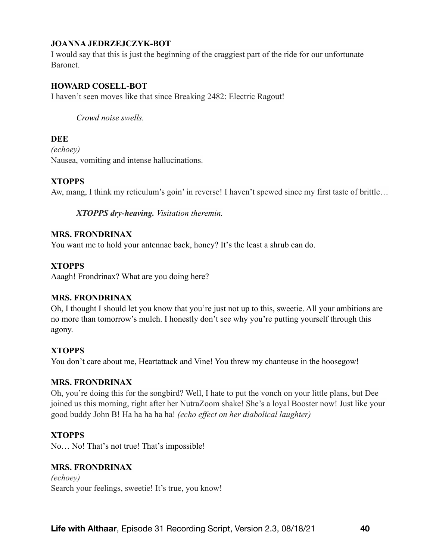### **JOANNA JEDRZEJCZYK-BOT**

I would say that this is just the beginning of the craggiest part of the ride for our unfortunate Baronet.

### **HOWARD COSELL-BOT**

I haven't seen moves like that since Breaking 2482: Electric Ragout!

#### *Crowd noise swells.*

#### **DEE**

*(echoey)*  Nausea, vomiting and intense hallucinations.

#### **XTOPPS**

Aw, mang, I think my reticulum's goin' in reverse! I haven't spewed since my first taste of brittle…

#### *XTOPPS dry-heaving. Visitation theremin.*

### **MRS. FRONDRINAX**

You want me to hold your antennae back, honey? It's the least a shrub can do.

#### **XTOPPS**

Aaagh! Frondrinax? What are you doing here?

#### **MRS. FRONDRINAX**

Oh, I thought I should let you know that you're just not up to this, sweetie. All your ambitions are no more than tomorrow's mulch. I honestly don't see why you're putting yourself through this agony.

#### **XTOPPS**

You don't care about me, Heartattack and Vine! You threw my chanteuse in the hoosegow!

#### **MRS. FRONDRINAX**

Oh, you're doing this for the songbird? Well, I hate to put the vonch on your little plans, but Dee joined us this morning, right after her NutraZoom shake! She's a loyal Booster now! Just like your good buddy John B! Ha ha ha ha ha! *(echo effect on her diabolical laughter)*

#### **XTOPPS**

No… No! That's not true! That's impossible!

#### **MRS. FRONDRINAX**

*(echoey)*  Search your feelings, sweetie! It's true, you know!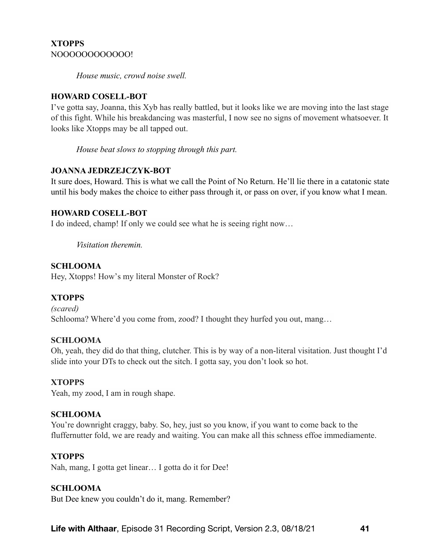### **XTOPPS**  NOOOOOOOOOOOO!

*House music, crowd noise swell.* 

### **HOWARD COSELL-BOT**

I've gotta say, Joanna, this Xyb has really battled, but it looks like we are moving into the last stage of this fight. While his breakdancing was masterful, I now see no signs of movement whatsoever. It looks like Xtopps may be all tapped out.

*House beat slows to stopping through this part.* 

### **JOANNA JEDRZEJCZYK-BOT**

It sure does, Howard. This is what we call the Point of No Return. He'll lie there in a catatonic state until his body makes the choice to either pass through it, or pass on over, if you know what I mean.

### **HOWARD COSELL-BOT**

I do indeed, champ! If only we could see what he is seeing right now…

*Visitation theremin.* 

### **SCHLOOMA**

Hey, Xtopps! How's my literal Monster of Rock?

# **XTOPPS**

*(scared)*  Schlooma? Where'd you come from, zood? I thought they hurfed you out, mang...

### **SCHLOOMA**

Oh, yeah, they did do that thing, clutcher. This is by way of a non-literal visitation. Just thought I'd slide into your DTs to check out the sitch. I gotta say, you don't look so hot.

### **XTOPPS**

Yeah, my zood, I am in rough shape.

### **SCHLOOMA**

You're downright craggy, baby. So, hey, just so you know, if you want to come back to the fluffernutter fold, we are ready and waiting. You can make all this schness effoe immediamente.

### **XTOPPS**

Nah, mang, I gotta get linear… I gotta do it for Dee!

### **SCHLOOMA**

But Dee knew you couldn't do it, mang. Remember?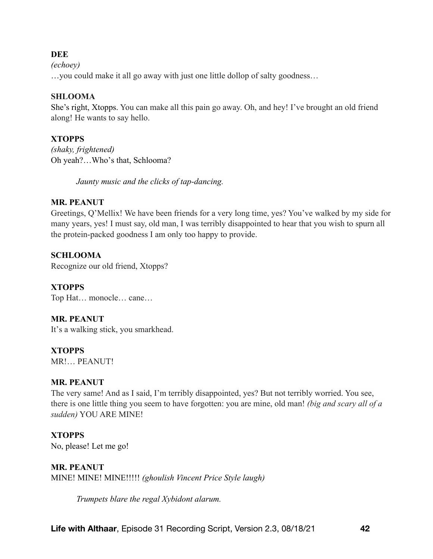*(echoey)*  …you could make it all go away with just one little dollop of salty goodness…

### **SHLOOMA**

She's right, Xtopps. You can make all this pain go away. Oh, and hey! I've brought an old friend along! He wants to say hello.

# **XTOPPS**

*(shaky, frightened)*  Oh yeah?…Who's that, Schlooma?

*Jaunty music and the clicks of tap-dancing.* 

# **MR. PEANUT**

Greetings, Q'Mellix! We have been friends for a very long time, yes? You've walked by my side for many years, yes! I must say, old man, I was terribly disappointed to hear that you wish to spurn all the protein-packed goodness I am only too happy to provide.

# **SCHLOOMA**

Recognize our old friend, Xtopps?

**XTOPPS** Top Hat… monocle… cane…

**MR. PEANUT**  It's a walking stick, you smarkhead.

**XTOPPS**  MR!… PEANUT!

# **MR. PEANUT**

The very same! And as I said, I'm terribly disappointed, yes? But not terribly worried. You see, there is one little thing you seem to have forgotten: you are mine, old man! *(big and scary all of a sudden)* YOU ARE MINE!

**XTOPPS**  No, please! Let me go!

# **MR. PEANUT**

MINE! MINE! MINE!!!!! *(ghoulish Vincent Price Style laugh)*

*Trumpets blare the regal Xybidont alarum.*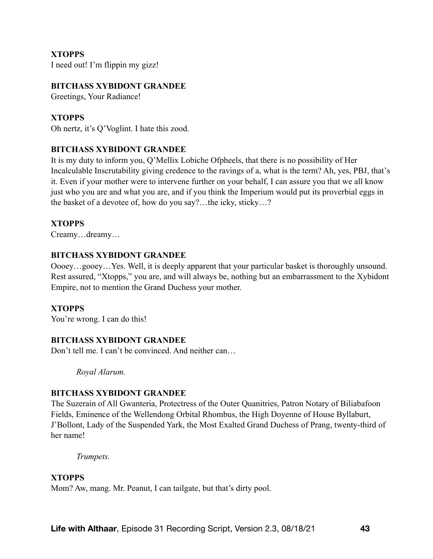**XTOPPS** 

I need out! I'm flippin my gizz!

#### **BITCHASS XYBIDONT GRANDEE**

Greetings, Your Radiance!

### **XTOPPS**

Oh nertz, it's Q'Voglint. I hate this zood.

### **BITCHASS XYBIDONT GRANDEE**

It is my duty to inform you, Q'Mellix Lobiche Ofpheels, that there is no possibility of Her Incalculable Inscrutability giving credence to the ravings of a, what is the term? Ah, yes, PBJ, that's it. Even if your mother were to intervene further on your behalf, I can assure you that we all know just who you are and what you are, and if you think the Imperium would put its proverbial eggs in the basket of a devotee of, how do you say?…the icky, sticky…?

### **XTOPPS**

Creamy…dreamy…

#### **BITCHASS XYBIDONT GRANDEE**

Oooey…gooey…Yes. Well, it is deeply apparent that your particular basket is thoroughly unsound. Rest assured, "Xtopps," you are, and will always be, nothing but an embarrassment to the Xybidont Empire, not to mention the Grand Duchess your mother.

### **XTOPPS**

You're wrong. I can do this!

### **BITCHASS XYBIDONT GRANDEE**

Don't tell me. I can't be convinced. And neither can

*Royal Alarum.* 

#### **BITCHASS XYBIDONT GRANDEE**

The Suzerain of All Gwanteria, Protectress of the Outer Quanitries, Patron Notary of Biliabafoon Fields, Eminence of the Wellendong Orbital Rhombus, the High Doyenne of House Byllaburt, J'Bollont, Lady of the Suspended Yark, the Most Exalted Grand Duchess of Prang, twenty-third of her name!

*Trumpets.* 

#### **XTOPPS**

Mom? Aw, mang. Mr. Peanut, I can tailgate, but that's dirty pool.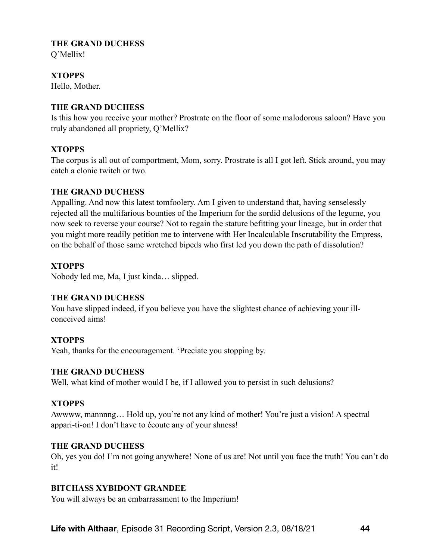# **THE GRAND DUCHESS**

Q'Mellix!

# **XTOPPS**

Hello, Mother.

### **THE GRAND DUCHESS**

Is this how you receive your mother? Prostrate on the floor of some malodorous saloon? Have you truly abandoned all propriety, Q'Mellix?

# **XTOPPS**

The corpus is all out of comportment, Mom, sorry. Prostrate is all I got left. Stick around, you may catch a clonic twitch or two.

### **THE GRAND DUCHESS**

Appalling. And now this latest tomfoolery. Am I given to understand that, having senselessly rejected all the multifarious bounties of the Imperium for the sordid delusions of the legume, you now seek to reverse your course? Not to regain the stature befitting your lineage, but in order that you might more readily petition me to intervene with Her Incalculable Inscrutability the Empress, on the behalf of those same wretched bipeds who first led you down the path of dissolution?

### **XTOPPS**

Nobody led me, Ma, I just kinda… slipped.

# **THE GRAND DUCHESS**

You have slipped indeed, if you believe you have the slightest chance of achieving your illconceived aims!

### **XTOPPS**

Yeah, thanks for the encouragement. 'Preciate you stopping by.

### **THE GRAND DUCHESS**

Well, what kind of mother would I be, if I allowed you to persist in such delusions?

# **XTOPPS**

Awwww, mannnng… Hold up, you're not any kind of mother! You're just a vision! A spectral appari-ti-on! I don't have to écoute any of your shness!

### **THE GRAND DUCHESS**

Oh, yes you do! I'm not going anywhere! None of us are! Not until you face the truth! You can't do it!

# **BITCHASS XYBIDONT GRANDEE**

You will always be an embarrassment to the Imperium!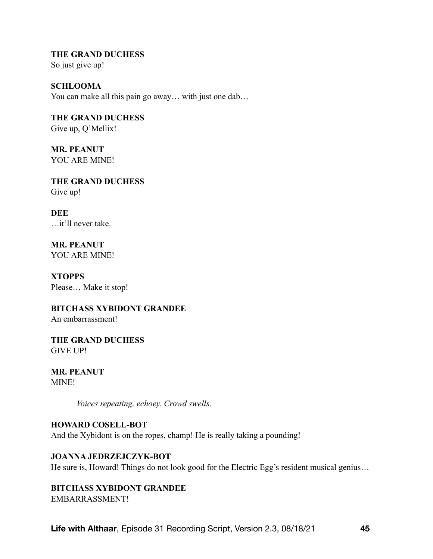**THE GRAND DUCHESS**  So just give up!

**SCHLOOMA**  You can make all this pain go away... with just one dab...

**THE GRAND DUCHESS**  Give up, Q'Mellix!

**MR. PEANUT** YOU ARE MINE!

**THE GRAND DUCHESS**  Give up!

**DEE** …it'll never take.

**MR. PEANUT** YOU ARE MINE!

**XTOPPS**  Please… Make it stop!

**BITCHASS XYBIDONT GRANDEE**  An embarrassment!

**THE GRAND DUCHESS**  GIVE UP!

**MR. PEANUT** MINE!

*Voices repeating, echoey. Crowd swells.* 

**HOWARD COSELL-BOT** And the Xybidont is on the ropes, champ! He is really taking a pounding!

# **JOANNA JEDRZEJCZYK-BOT**

He sure is, Howard! Things do not look good for the Electric Egg's resident musical genius...

# **BITCHASS XYBIDONT GRANDEE**

EMBARRASSMENT!

**Life with Althaar**, Episode 31 Recording Script, Version 2.3, 08/18/21 **45**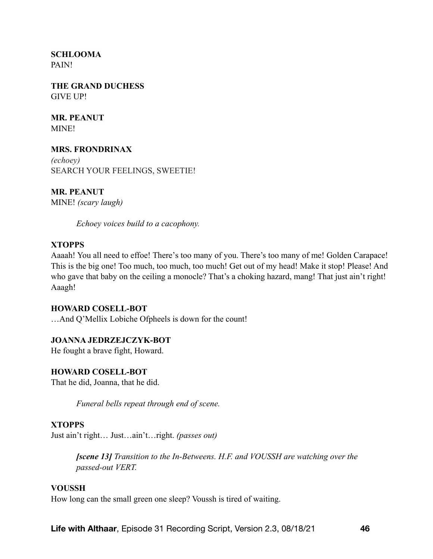**SCHLOOMA** PAIN!

**THE GRAND DUCHESS**  GIVE UP!

**MR. PEANUT** MINE!

### **MRS. FRONDRINAX**

*(echoey)*  SEARCH YOUR FEELINGS, SWEETIE!

**MR. PEANUT** MINE! *(scary laugh)*

*Echoey voices build to a cacophony.* 

#### **XTOPPS**

Aaaah! You all need to effoe! There's too many of you. There's too many of me! Golden Carapace! This is the big one! Too much, too much, too much! Get out of my head! Make it stop! Please! And who gave that baby on the ceiling a monocle? That's a choking hazard, mang! That just ain't right! Aaagh!

#### **HOWARD COSELL-BOT**

…And Q'Mellix Lobiche Ofpheels is down for the count!

### **JOANNA JEDRZEJCZYK-BOT**

He fought a brave fight, Howard.

### **HOWARD COSELL-BOT**

That he did, Joanna, that he did.

*Funeral bells repeat through end of scene.* 

### **XTOPPS**

Just ain't right… Just…ain't…right. *(passes out)*

*[scene 13] Transition to the In-Betweens. H.F. and VOUSSH are watching over the passed-out VERT.* 

#### **VOUSSH**

How long can the small green one sleep? Voussh is tired of waiting.

**Life with Althaar**, Episode 31 Recording Script, Version 2.3, 08/18/21 **46**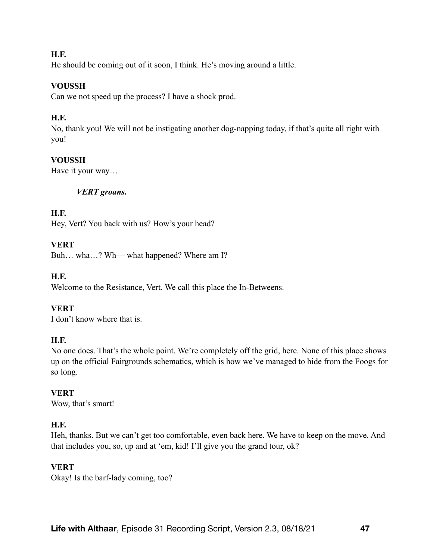### **H.F.**

He should be coming out of it soon, I think. He's moving around a little.

# **VOUSSH**

Can we not speed up the process? I have a shock prod.

### **H.F.**

No, thank you! We will not be instigating another dog-napping today, if that's quite all right with you!

### **VOUSSH**

Have it your way…

### *VERT groans.*

### **H.F.**

Hey, Vert? You back with us? How's your head?

### **VERT**

Buh… wha…? Wh— what happened? Where am I?

### **H.F.**

Welcome to the Resistance, Vert. We call this place the In-Betweens.

# **VERT**

I don't know where that is.

### **H.F.**

No one does. That's the whole point. We're completely off the grid, here. None of this place shows up on the official Fairgrounds schematics, which is how we've managed to hide from the Foogs for so long.

### **VERT**

Wow, that's smart!

# **H.F.**

Heh, thanks. But we can't get too comfortable, even back here. We have to keep on the move. And that includes you, so, up and at 'em, kid! I'll give you the grand tour, ok?

### **VERT**

Okay! Is the barf-lady coming, too?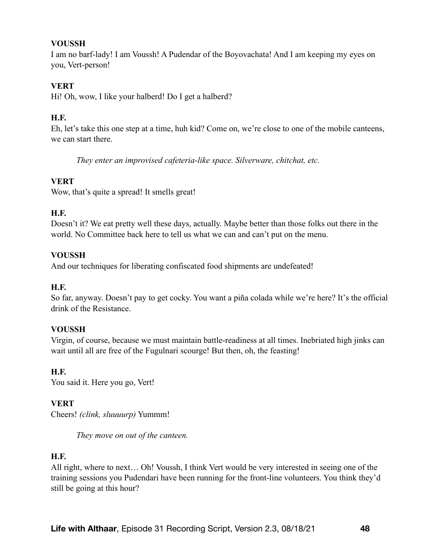### **VOUSSH**

I am no barf-lady! I am Voussh! A Pudendar of the Boyovachata! And I am keeping my eyes on you, Vert-person!

# **VERT**

Hi! Oh, wow, I like your halberd! Do I get a halberd?

# **H.F.**

Eh, let's take this one step at a time, huh kid? Come on, we're close to one of the mobile canteens, we can start there.

*They enter an improvised cafeteria-like space. Silverware, chitchat, etc.* 

# **VERT**

Wow, that's quite a spread! It smells great!

# **H.F.**

Doesn't it? We eat pretty well these days, actually. Maybe better than those folks out there in the world. No Committee back here to tell us what we can and can't put on the menu.

# **VOUSSH**

And our techniques for liberating confiscated food shipments are undefeated!

# **H.F.**

So far, anyway. Doesn't pay to get cocky. You want a piña colada while we're here? It's the official drink of the Resistance.

# **VOUSSH**

Virgin, of course, because we must maintain battle-readiness at all times. Inebriated high jinks can wait until all are free of the Fugulnari scourge! But then, oh, the feasting!

# **H.F.**

You said it. Here you go, Vert!

# **VERT**

Cheers! *(clink, sluuuurp)* Yummm!

*They move on out of the canteen.* 

# **H.F.**

All right, where to next… Oh! Voussh, I think Vert would be very interested in seeing one of the training sessions you Pudendari have been running for the front-line volunteers. You think they'd still be going at this hour?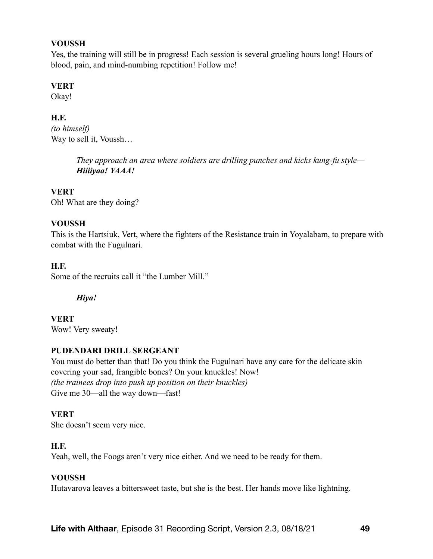#### **VOUSSH**

Yes, the training will still be in progress! Each session is several grueling hours long! Hours of blood, pain, and mind-numbing repetition! Follow me!

### **VERT**

Okay!

# **H.F.**

*(to himself)* Way to sell it, Voussh…

> *They approach an area where soldiers are drilling punches and kicks kung-fu style— Hiiiiyaa! YAAA!*

### **VERT**

Oh! What are they doing?

### **VOUSSH**

This is the Hartsiuk, Vert, where the fighters of the Resistance train in Yoyalabam, to prepare with combat with the Fugulnari.

### **H.F.**

Some of the recruits call it "the Lumber Mill."

### *Hiya!*

**VERT** Wow! Very sweaty!

### **PUDENDARI DRILL SERGEANT**

You must do better than that! Do you think the Fugulnari have any care for the delicate skin covering your sad, frangible bones? On your knuckles! Now! *(the trainees drop into push up position on their knuckles)*  Give me 30—all the way down—fast!

### **VERT**

She doesn't seem very nice.

### **H.F.**

Yeah, well, the Foogs aren't very nice either. And we need to be ready for them.

### **VOUSSH**

Hutavarova leaves a bittersweet taste, but she is the best. Her hands move like lightning.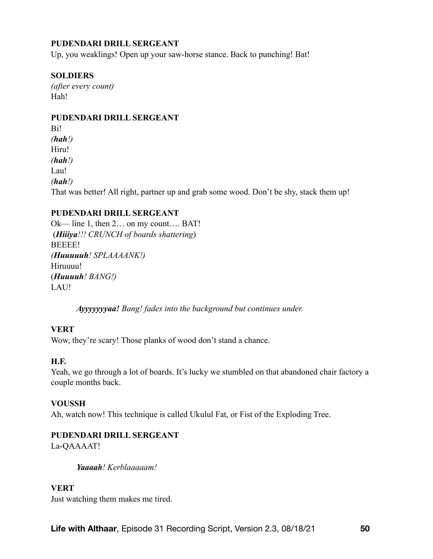### **PUDENDARI DRILL SERGEANT**

Up, you weaklings! Open up your saw-horse stance. Back to punching! Bat!

### **SOLDIERS**

*(after every count)*  Hah!

### **PUDENDARI DRILL SERGEANT**

Bi! *(hah!)* Hiru! *(hah!)* Lau! *(hah!)*  That was better! All right, partner up and grab some wood. Don't be shy, stack them up!

### **PUDENDARI DRILL SERGEANT**

Ok— line 1, then 2… on my count…. BAT! (*Hiiiya!!! CRUNCH of boards shattering*) BEEEE! *(Huuuuuh! SPLAAAANK!)* Hiruuuu! (*Huuuuh! BANG!)*  LAU!

*Ayyyyyyyaa! Bang! fades into the background but continues under.* 

### **VERT**

Wow, they're scary! Those planks of wood don't stand a chance.

### **H.F.**

Yeah, we go through a lot of boards. It's lucky we stumbled on that abandoned chair factory a couple months back.

### **VOUSSH**

Ah, watch now! This technique is called Ukulul Fat, or Fist of the Exploding Tree.

### **PUDENDARI DRILL SERGEANT**

La-QAAAAT!

*Yaaaah! Kerblaaaaam!* 

### **VERT**

Just watching them makes me tired.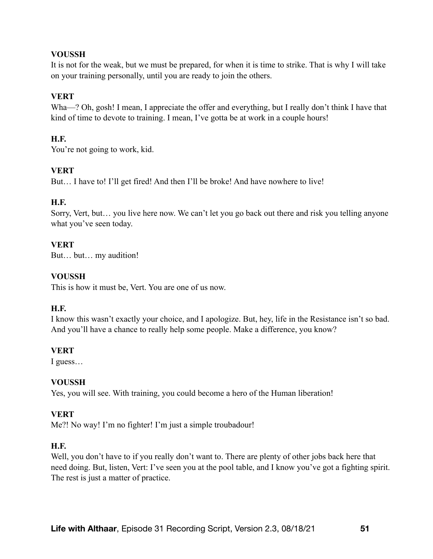### **VOUSSH**

It is not for the weak, but we must be prepared, for when it is time to strike. That is why I will take on your training personally, until you are ready to join the others.

### **VERT**

Wha—? Oh, gosh! I mean, I appreciate the offer and everything, but I really don't think I have that kind of time to devote to training. I mean, I've gotta be at work in a couple hours!

### **H.F.**

You're not going to work, kid.

### **VERT**

But... I have to! I'll get fired! And then I'll be broke! And have nowhere to live!

### **H.F.**

Sorry, Vert, but… you live here now. We can't let you go back out there and risk you telling anyone what you've seen today.

### **VERT**

But… but… my audition!

### **VOUSSH**

This is how it must be, Vert. You are one of us now.

### **H.F.**

I know this wasn't exactly your choice, and I apologize. But, hey, life in the Resistance isn't so bad. And you'll have a chance to really help some people. Make a difference, you know?

### **VERT**

I guess…

### **VOUSSH**

Yes, you will see. With training, you could become a hero of the Human liberation!

### **VERT**

Me?! No way! I'm no fighter! I'm just a simple troubadour!

### **H.F.**

Well, you don't have to if you really don't want to. There are plenty of other jobs back here that need doing. But, listen, Vert: I've seen you at the pool table, and I know you've got a fighting spirit. The rest is just a matter of practice.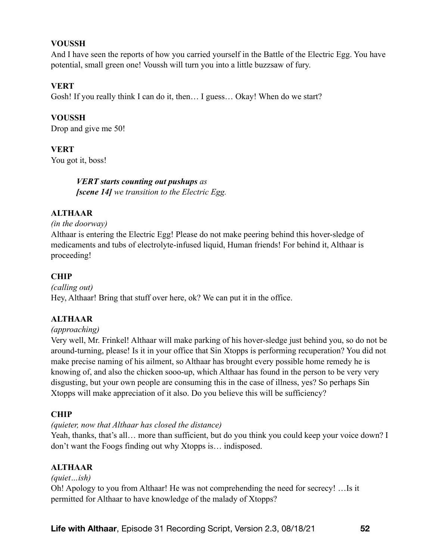### **VOUSSH**

And I have seen the reports of how you carried yourself in the Battle of the Electric Egg. You have potential, small green one! Voussh will turn you into a little buzzsaw of fury.

### **VERT**

Gosh! If you really think I can do it, then... I guess... Okay! When do we start?

**VOUSSH** Drop and give me 50!

**VERT** 

You got it, boss!

*VERT starts counting out pushups as [scene 14] we transition to the Electric Egg.* 

### **ALTHAAR**

*(in the doorway)* 

Althaar is entering the Electric Egg! Please do not make peering behind this hover-sledge of medicaments and tubs of electrolyte-infused liquid, Human friends! For behind it, Althaar is proceeding!

### **CHIP**

*(calling out)*  Hey, Althaar! Bring that stuff over here, ok? We can put it in the office.

### **ALTHAAR**

### *(approaching)*

Very well, Mr. Frinkel! Althaar will make parking of his hover-sledge just behind you, so do not be around-turning, please! Is it in your office that Sin Xtopps is performing recuperation? You did not make precise naming of his ailment, so Althaar has brought every possible home remedy he is knowing of, and also the chicken sooo-up, which Althaar has found in the person to be very very disgusting, but your own people are consuming this in the case of illness, yes? So perhaps Sin Xtopps will make appreciation of it also. Do you believe this will be sufficiency?

### **CHIP**

*(quieter, now that Althaar has closed the distance)*

Yeah, thanks, that's all... more than sufficient, but do you think you could keep your voice down? I don't want the Foogs finding out why Xtopps is… indisposed.

# **ALTHAAR**

*(quiet…ish)* Oh! Apology to you from Althaar! He was not comprehending the need for secrecy! …Is it permitted for Althaar to have knowledge of the malady of Xtopps?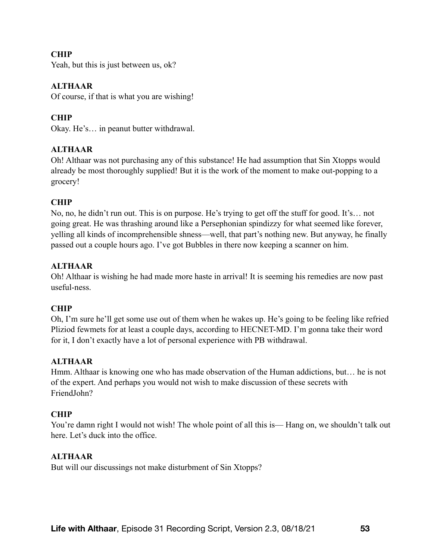### **CHIP**

Yeah, but this is just between us, ok?

### **ALTHAAR**

Of course, if that is what you are wishing!

### **CHIP**

Okay. He's… in peanut butter withdrawal.

### **ALTHAAR**

Oh! Althaar was not purchasing any of this substance! He had assumption that Sin Xtopps would already be most thoroughly supplied! But it is the work of the moment to make out-popping to a grocery!

### **CHIP**

No, no, he didn't run out. This is on purpose. He's trying to get off the stuff for good. It's… not going great. He was thrashing around like a Persephonian spindizzy for what seemed like forever, yelling all kinds of incomprehensible shness—well, that part's nothing new. But anyway, he finally passed out a couple hours ago. I've got Bubbles in there now keeping a scanner on him.

### **ALTHAAR**

Oh! Althaar is wishing he had made more haste in arrival! It is seeming his remedies are now past useful-ness.

# **CHIP**

Oh, I'm sure he'll get some use out of them when he wakes up. He's going to be feeling like refried Pliziod fewmets for at least a couple days, according to HECNET-MD. I'm gonna take their word for it, I don't exactly have a lot of personal experience with PB withdrawal.

### **ALTHAAR**

Hmm. Althaar is knowing one who has made observation of the Human addictions, but… he is not of the expert. And perhaps you would not wish to make discussion of these secrets with FriendJohn?

### **CHIP**

You're damn right I would not wish! The whole point of all this is— Hang on, we shouldn't talk out here. Let's duck into the office.

### **ALTHAAR**

But will our discussings not make disturbment of Sin Xtopps?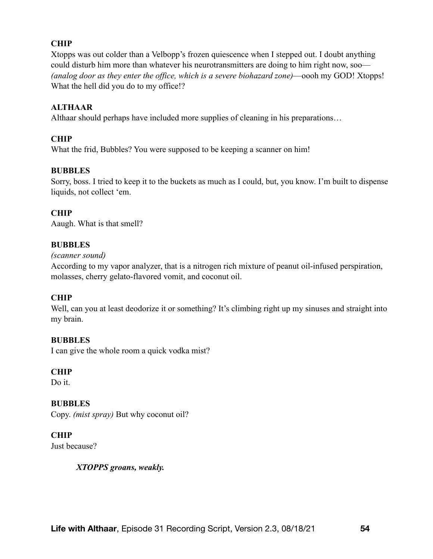# **CHIP**

Xtopps was out colder than a Velbopp's frozen quiescence when I stepped out. I doubt anything could disturb him more than whatever his neurotransmitters are doing to him right now, soo— *(analog door as they enter the office, which is a severe biohazard zone)*—oooh my GOD! Xtopps! What the hell did you do to my office!?

### **ALTHAAR**

Althaar should perhaps have included more supplies of cleaning in his preparations…

# **CHIP**

What the frid, Bubbles? You were supposed to be keeping a scanner on him!

### **BUBBLES**

Sorry, boss. I tried to keep it to the buckets as much as I could, but, you know. I'm built to dispense liquids, not collect 'em.

### **CHIP**

Aaugh. What is that smell?

### **BUBBLES**

### *(scanner sound)*

According to my vapor analyzer, that is a nitrogen rich mixture of peanut oil-infused perspiration, molasses, cherry gelato-flavored vomit, and coconut oil.

### **CHIP**

Well, can you at least deodorize it or something? It's climbing right up my sinuses and straight into my brain.

### **BUBBLES**

I can give the whole room a quick vodka mist?

### **CHIP**

Do it.

# **BUBBLES**

Copy. *(mist spray)* But why coconut oil?

# **CHIP**

Just because?

### *XTOPPS groans, weakly.*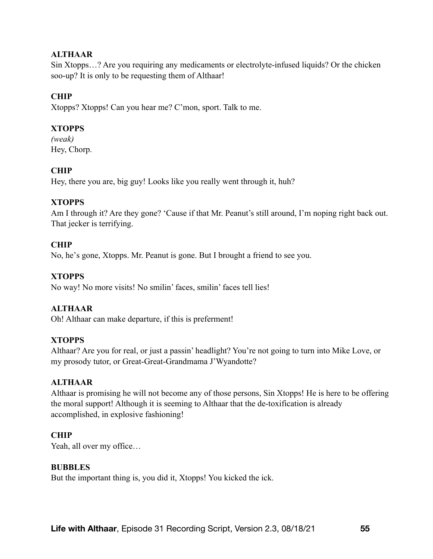### **ALTHAAR**

Sin Xtopps…? Are you requiring any medicaments or electrolyte-infused liquids? Or the chicken soo-up? It is only to be requesting them of Althaar!

### **CHIP**

Xtopps? Xtopps! Can you hear me? C'mon, sport. Talk to me.

### **XTOPPS**

*(weak)*  Hey, Chorp.

### **CHIP**

Hey, there you are, big guy! Looks like you really went through it, huh?

### **XTOPPS**

Am I through it? Are they gone? 'Cause if that Mr. Peanut's still around, I'm noping right back out. That jecker is terrifying.

### **CHIP**

No, he's gone, Xtopps. Mr. Peanut is gone. But I brought a friend to see you.

### **XTOPPS**

No way! No more visits! No smilin' faces, smilin' faces tell lies!

### **ALTHAAR**

Oh! Althaar can make departure, if this is preferment!

### **XTOPPS**

Althaar? Are you for real, or just a passin' headlight? You're not going to turn into Mike Love, or my prosody tutor, or Great-Great-Grandmama J'Wyandotte?

### **ALTHAAR**

Althaar is promising he will not become any of those persons, Sin Xtopps! He is here to be offering the moral support! Although it is seeming to Althaar that the de-toxification is already accomplished, in explosive fashioning!

### **CHIP**

Yeah, all over my office...

#### **BUBBLES**

But the important thing is, you did it, Xtopps! You kicked the ick.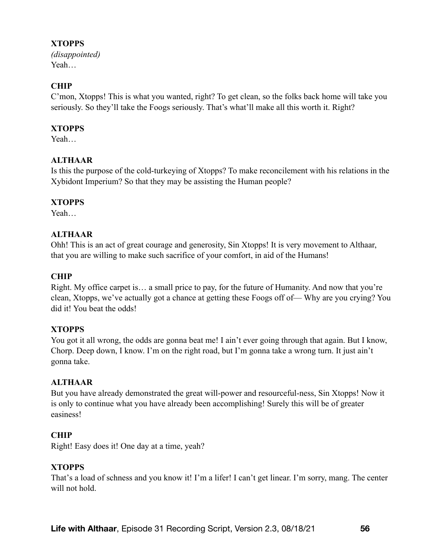### **XTOPPS**

*(disappointed)*  Yeah…

# **CHIP**

C'mon, Xtopps! This is what you wanted, right? To get clean, so the folks back home will take you seriously. So they'll take the Foogs seriously. That's what'll make all this worth it. Right?

# **XTOPPS**

Yeah…

# **ALTHAAR**

Is this the purpose of the cold-turkeying of Xtopps? To make reconcilement with his relations in the Xybidont Imperium? So that they may be assisting the Human people?

# **XTOPPS**

Yeah…

# **ALTHAAR**

Ohh! This is an act of great courage and generosity, Sin Xtopps! It is very movement to Althaar, that you are willing to make such sacrifice of your comfort, in aid of the Humans!

# **CHIP**

Right. My office carpet is… a small price to pay, for the future of Humanity. And now that you're clean, Xtopps, we've actually got a chance at getting these Foogs off of— Why are you crying? You did it! You beat the odds!

# **XTOPPS**

You got it all wrong, the odds are gonna beat me! I ain't ever going through that again. But I know, Chorp. Deep down, I know. I'm on the right road, but I'm gonna take a wrong turn. It just ain't gonna take.

# **ALTHAAR**

But you have already demonstrated the great will-power and resourceful-ness, Sin Xtopps! Now it is only to continue what you have already been accomplishing! Surely this will be of greater easiness!

# **CHIP**

Right! Easy does it! One day at a time, yeah?

# **XTOPPS**

That's a load of schness and you know it! I'm a lifer! I can't get linear. I'm sorry, mang. The center will not hold.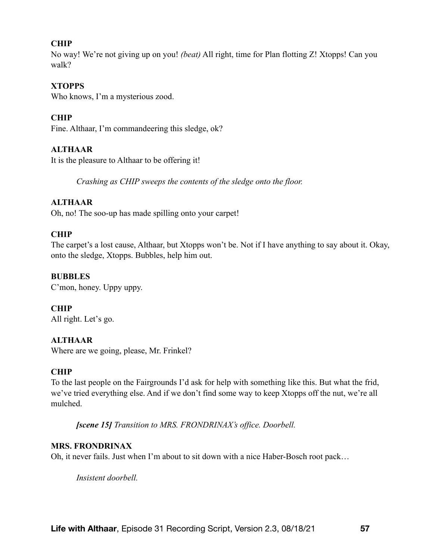### **CHIP**

No way! We're not giving up on you! *(beat)* All right, time for Plan flotting Z! Xtopps! Can you walk?

### **XTOPPS**

Who knows, I'm a mysterious zood.

### **CHIP**

Fine. Althaar, I'm commandeering this sledge, ok?

### **ALTHAAR**

It is the pleasure to Althaar to be offering it!

*Crashing as CHIP sweeps the contents of the sledge onto the floor.* 

### **ALTHAAR**

Oh, no! The soo-up has made spilling onto your carpet!

### **CHIP**

The carpet's a lost cause, Althaar, but Xtopps won't be. Not if I have anything to say about it. Okay, onto the sledge, Xtopps. Bubbles, help him out.

### **BUBBLES**

C'mon, honey. Uppy uppy.

# **CHIP**

All right. Let's go.

### **ALTHAAR**

Where are we going, please, Mr. Frinkel?

### **CHIP**

To the last people on the Fairgrounds I'd ask for help with something like this. But what the frid, we've tried everything else. And if we don't find some way to keep Xtopps off the nut, we're all mulched.

*[scene 15] Transition to MRS. FRONDRINAX's office. Doorbell.* 

### **MRS. FRONDRINAX**

Oh, it never fails. Just when I'm about to sit down with a nice Haber-Bosch root pack…

*Insistent doorbell.*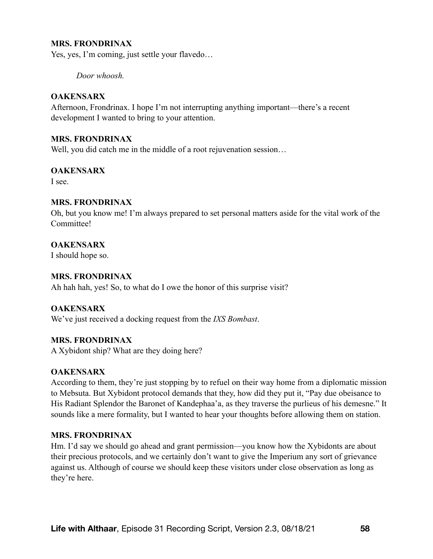#### **MRS. FRONDRINAX**

Yes, yes, I'm coming, just settle your flavedo…

*Door whoosh.* 

#### **OAKENSARX**

Afternoon, Frondrinax. I hope I'm not interrupting anything important—there's a recent development I wanted to bring to your attention.

#### **MRS. FRONDRINAX**

Well, you did catch me in the middle of a root rejuvenation session...

#### **OAKENSARX**

I see.

#### **MRS. FRONDRINAX**

Oh, but you know me! I'm always prepared to set personal matters aside for the vital work of the Committee!

### **OAKENSARX**

I should hope so.

### **MRS. FRONDRINAX**

Ah hah hah, yes! So, to what do I owe the honor of this surprise visit?

### **OAKENSARX**

We've just received a docking request from the *IXS Bombast*.

#### **MRS. FRONDRINAX**

A Xybidont ship? What are they doing here?

### **OAKENSARX**

According to them, they're just stopping by to refuel on their way home from a diplomatic mission to Mebsuta. But Xybidont protocol demands that they, how did they put it, "Pay due obeisance to His Radiant Splendor the Baronet of Kandephaa'a, as they traverse the purlieus of his demesne." It sounds like a mere formality, but I wanted to hear your thoughts before allowing them on station.

#### **MRS. FRONDRINAX**

Hm. I'd say we should go ahead and grant permission—you know how the Xybidonts are about their precious protocols, and we certainly don't want to give the Imperium any sort of grievance against us. Although of course we should keep these visitors under close observation as long as they're here.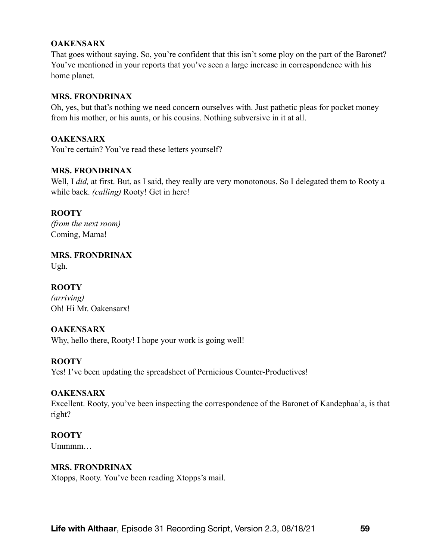### **OAKENSARX**

That goes without saying. So, you're confident that this isn't some ploy on the part of the Baronet? You've mentioned in your reports that you've seen a large increase in correspondence with his home planet.

#### **MRS. FRONDRINAX**

Oh, yes, but that's nothing we need concern ourselves with. Just pathetic pleas for pocket money from his mother, or his aunts, or his cousins. Nothing subversive in it at all.

### **OAKENSARX**

You're certain? You've read these letters yourself?

### **MRS. FRONDRINAX**

Well, I *did,* at first. But, as I said, they really are very monotonous. So I delegated them to Rooty a while back. *(calling)* Rooty! Get in here!

### **ROOTY**

*(from the next room)* Coming, Mama!

**MRS. FRONDRINAX** 

Ugh.

### **ROOTY**

*(arriving)* Oh! Hi Mr. Oakensarx!

### **OAKENSARX**

Why, hello there, Rooty! I hope your work is going well!

### **ROOTY**

Yes! I've been updating the spreadsheet of Pernicious Counter-Productives!

### **OAKENSARX**

Excellent. Rooty, you've been inspecting the correspondence of the Baronet of Kandephaa'a, is that right?

### **ROOTY**

Ummmm…

### **MRS. FRONDRINAX**

Xtopps, Rooty. You've been reading Xtopps's mail.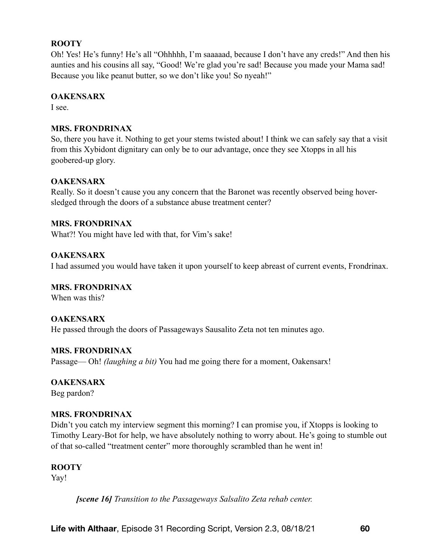### **ROOTY**

Oh! Yes! He's funny! He's all "Ohhhhh, I'm saaaaad, because I don't have any creds!" And then his aunties and his cousins all say, "Good! We're glad you're sad! Because you made your Mama sad! Because you like peanut butter, so we don't like you! So nyeah!"

### **OAKENSARX**

I see.

### **MRS. FRONDRINAX**

So, there you have it. Nothing to get your stems twisted about! I think we can safely say that a visit from this Xybidont dignitary can only be to our advantage, once they see Xtopps in all his goobered-up glory.

### **OAKENSARX**

Really. So it doesn't cause you any concern that the Baronet was recently observed being hoversledged through the doors of a substance abuse treatment center?

### **MRS. FRONDRINAX**

What?! You might have led with that, for Vim's sake!

### **OAKENSARX**

I had assumed you would have taken it upon yourself to keep abreast of current events, Frondrinax.

### **MRS. FRONDRINAX**

When was this?

### **OAKENSARX**

He passed through the doors of Passageways Sausalito Zeta not ten minutes ago.

### **MRS. FRONDRINAX**

Passage— Oh! *(laughing a bit)* You had me going there for a moment, Oakensarx!

# **OAKENSARX**

Beg pardon?

### **MRS. FRONDRINAX**

Didn't you catch my interview segment this morning? I can promise you, if Xtopps is looking to Timothy Leary-Bot for help, we have absolutely nothing to worry about. He's going to stumble out of that so-called "treatment center" more thoroughly scrambled than he went in!

### **ROOTY**

Yay!

*[scene 16] Transition to the Passageways Salsalito Zeta rehab center.*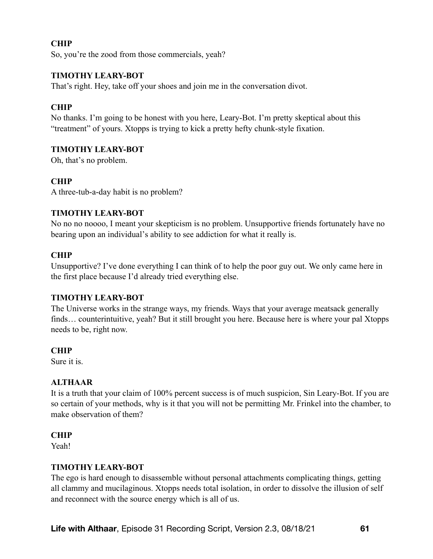# **CHIP**

So, you're the zood from those commercials, yeah?

#### **TIMOTHY LEARY-BOT**

That's right. Hey, take off your shoes and join me in the conversation divot.

#### **CHIP**

No thanks. I'm going to be honest with you here, Leary-Bot. I'm pretty skeptical about this "treatment" of yours. Xtopps is trying to kick a pretty hefty chunk-style fixation.

#### **TIMOTHY LEARY-BOT**

Oh, that's no problem.

#### **CHIP**

A three-tub-a-day habit is no problem?

#### **TIMOTHY LEARY-BOT**

No no no noooo, I meant your skepticism is no problem. Unsupportive friends fortunately have no bearing upon an individual's ability to see addiction for what it really is.

#### **CHIP**

Unsupportive? I've done everything I can think of to help the poor guy out. We only came here in the first place because I'd already tried everything else.

#### **TIMOTHY LEARY-BOT**

The Universe works in the strange ways, my friends. Ways that your average meatsack generally finds… counterintuitive, yeah? But it still brought you here. Because here is where your pal Xtopps needs to be, right now.

#### **CHIP**

Sure it is.

#### **ALTHAAR**

It is a truth that your claim of 100% percent success is of much suspicion, Sin Leary-Bot. If you are so certain of your methods, why is it that you will not be permitting Mr. Frinkel into the chamber, to make observation of them?

#### **CHIP**

Yeah!

#### **TIMOTHY LEARY-BOT**

The ego is hard enough to disassemble without personal attachments complicating things, getting all clammy and mucilaginous. Xtopps needs total isolation, in order to dissolve the illusion of self and reconnect with the source energy which is all of us.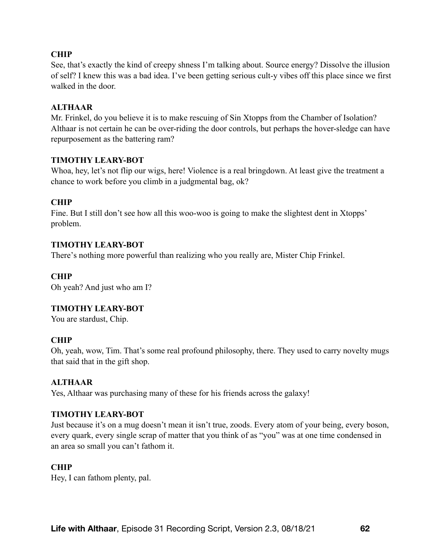### **CHIP**

See, that's exactly the kind of creepy shness I'm talking about. Source energy? Dissolve the illusion of self? I knew this was a bad idea. I've been getting serious cult-y vibes off this place since we first walked in the door.

#### **ALTHAAR**

Mr. Frinkel, do you believe it is to make rescuing of Sin Xtopps from the Chamber of Isolation? Althaar is not certain he can be over-riding the door controls, but perhaps the hover-sledge can have repurposement as the battering ram?

#### **TIMOTHY LEARY-BOT**

Whoa, hey, let's not flip our wigs, here! Violence is a real bringdown. At least give the treatment a chance to work before you climb in a judgmental bag, ok?

### **CHIP**

Fine. But I still don't see how all this woo-woo is going to make the slightest dent in Xtopps' problem.

#### **TIMOTHY LEARY-BOT**

There's nothing more powerful than realizing who you really are, Mister Chip Frinkel.

### **CHIP**

Oh yeah? And just who am I?

### **TIMOTHY LEARY-BOT**

You are stardust, Chip.

### **CHIP**

Oh, yeah, wow, Tim. That's some real profound philosophy, there. They used to carry novelty mugs that said that in the gift shop.

### **ALTHAAR**

Yes, Althaar was purchasing many of these for his friends across the galaxy!

#### **TIMOTHY LEARY-BOT**

Just because it's on a mug doesn't mean it isn't true, zoods. Every atom of your being, every boson, every quark, every single scrap of matter that you think of as "you" was at one time condensed in an area so small you can't fathom it.

#### **CHIP**

Hey, I can fathom plenty, pal.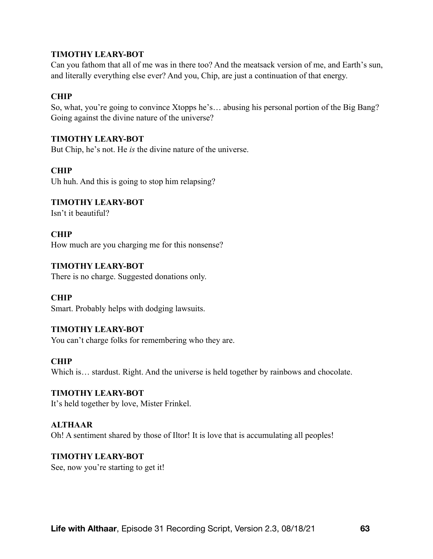Can you fathom that all of me was in there too? And the meatsack version of me, and Earth's sun, and literally everything else ever? And you, Chip, are just a continuation of that energy.

### **CHIP**

So, what, you're going to convince Xtopps he's… abusing his personal portion of the Big Bang? Going against the divine nature of the universe?

#### **TIMOTHY LEARY-BOT**

But Chip, he's not. He *is* the divine nature of the universe.

### **CHIP**

Uh huh. And this is going to stop him relapsing?

# **TIMOTHY LEARY-BOT**

Isn't it beautiful?

**CHIP** How much are you charging me for this nonsense?

# **TIMOTHY LEARY-BOT**

There is no charge. Suggested donations only.

### **CHIP**

Smart. Probably helps with dodging lawsuits.

### **TIMOTHY LEARY-BOT**

You can't charge folks for remembering who they are.

#### **CHIP**

Which is... stardust. Right. And the universe is held together by rainbows and chocolate.

# **TIMOTHY LEARY-BOT**

It's held together by love, Mister Frinkel.

### **ALTHAAR**

Oh! A sentiment shared by those of Iltor! It is love that is accumulating all peoples!

### **TIMOTHY LEARY-BOT**

See, now you're starting to get it!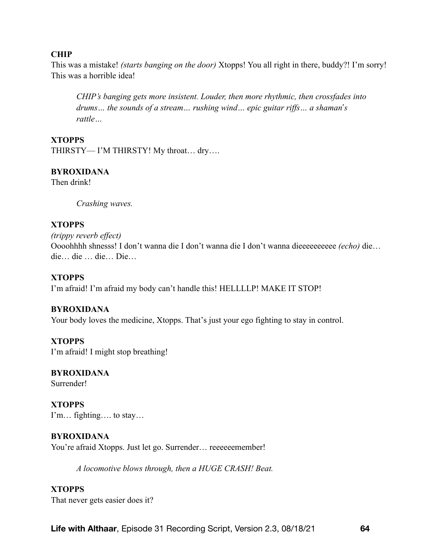### **CHIP**

This was a mistake! *(starts banging on the door)* Xtopps! You all right in there, buddy?! I'm sorry! This was a horrible idea!

*CHIP's banging gets more insistent. Louder, then more rhythmic, then crossfades into drums… the sounds of a stream… rushing wind… epic guitar riffs… a shaman*'*s rattle…* 

#### **XTOPPS**

THIRSTY— I'M THIRSTY! My throat… dry….

### **BYROXIDANA**

Then drink!

*Crashing waves.* 

### **XTOPPS**

*(trippy reverb effect)*  Oooohhhh shnesss! I don't wanna die I don't wanna die I don't wanna dieeeeeeeeee *(echo)* die… die… die … die… Die…

### **XTOPPS**

I'm afraid! I'm afraid my body can't handle this! HELLLLP! MAKE IT STOP!

### **BYROXIDANA**

Your body loves the medicine, Xtopps. That's just your ego fighting to stay in control.

### **XTOPPS**

I'm afraid! I might stop breathing!

# **BYROXIDANA**

Surrender!

**XTOPPS** I'm… fighting…. to stay…

### **BYROXIDANA**

You're afraid Xtopps. Just let go. Surrender... reeeeeemember!

*A locomotive blows through, then a HUGE CRASH! Beat.* 

### **XTOPPS**

That never gets easier does it?

**Life with Althaar**, Episode 31 Recording Script, Version 2.3, 08/18/21 **64**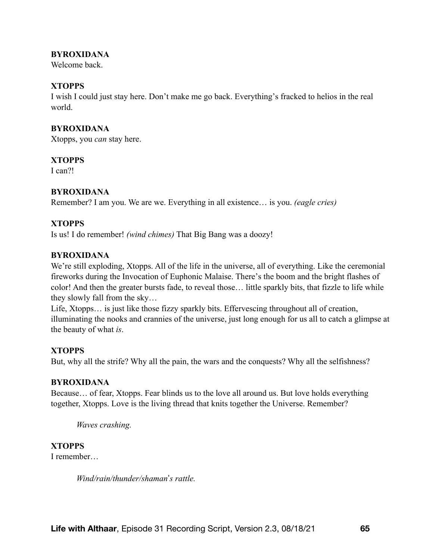### **BYROXIDANA**

Welcome back

### **XTOPPS**

I wish I could just stay here. Don't make me go back. Everything's fracked to helios in the real world.

### **BYROXIDANA**

Xtopps, you *can* stay here.

### **XTOPPS**

I can?!

### **BYROXIDANA**

Remember? I am you. We are we. Everything in all existence… is you. *(eagle cries)* 

### **XTOPPS**

Is us! I do remember! *(wind chimes)* That Big Bang was a doozy!

### **BYROXIDANA**

We're still exploding, Xtopps. All of the life in the universe, all of everything. Like the ceremonial fireworks during the Invocation of Euphonic Malaise. There's the boom and the bright flashes of color! And then the greater bursts fade, to reveal those… little sparkly bits, that fizzle to life while they slowly fall from the sky…

Life, Xtopps… is just like those fizzy sparkly bits. Effervescing throughout all of creation, illuminating the nooks and crannies of the universe, just long enough for us all to catch a glimpse at the beauty of what *is*.

### **XTOPPS**

But, why all the strife? Why all the pain, the wars and the conquests? Why all the selfishness?

### **BYROXIDANA**

Because… of fear, Xtopps. Fear blinds us to the love all around us. But love holds everything together, Xtopps. Love is the living thread that knits together the Universe. Remember?

*Waves crashing.* 

### **XTOPPS**

I remember…

*Wind/rain/thunder/shaman*'*s rattle.*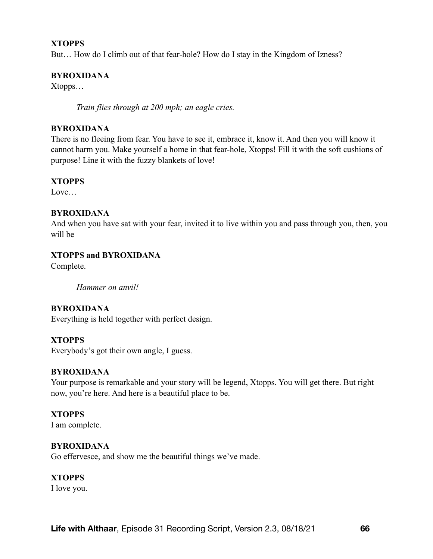#### **XTOPPS**

But… How do I climb out of that fear-hole? How do I stay in the Kingdom of Izness?

#### **BYROXIDANA**

Xtopps…

*Train flies through at 200 mph; an eagle cries.* 

### **BYROXIDANA**

There is no fleeing from fear. You have to see it, embrace it, know it. And then you will know it cannot harm you. Make yourself a home in that fear-hole, Xtopps! Fill it with the soft cushions of purpose! Line it with the fuzzy blankets of love!

#### **XTOPPS**

Love

#### **BYROXIDANA**

And when you have sat with your fear, invited it to live within you and pass through you, then, you will be—

#### **XTOPPS and BYROXIDANA**

Complete.

*Hammer on anvil!* 

### **BYROXIDANA**

Everything is held together with perfect design.

#### **XTOPPS**

Everybody's got their own angle, I guess.

#### **BYROXIDANA**

Your purpose is remarkable and your story will be legend, Xtopps. You will get there. But right now, you're here. And here is a beautiful place to be.

#### **XTOPPS**

I am complete.

#### **BYROXIDANA**

Go effervesce, and show me the beautiful things we've made.

#### **XTOPPS**

I love you.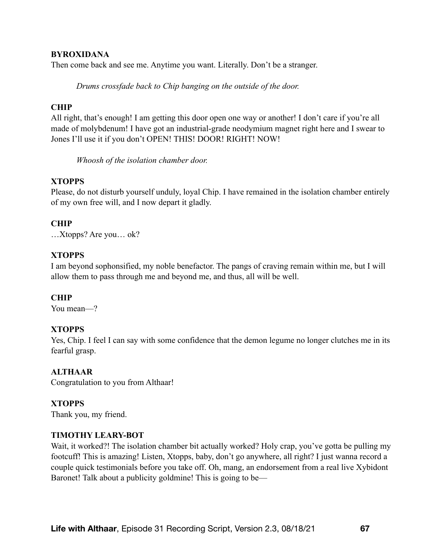#### **BYROXIDANA**

Then come back and see me. Anytime you want. Literally. Don't be a stranger.

*Drums crossfade back to Chip banging on the outside of the door.* 

#### **CHIP**

All right, that's enough! I am getting this door open one way or another! I don't care if you're all made of molybdenum! I have got an industrial-grade neodymium magnet right here and I swear to Jones I'll use it if you don't OPEN! THIS! DOOR! RIGHT! NOW!

*Whoosh of the isolation chamber door.* 

### **XTOPPS**

Please, do not disturb yourself unduly, loyal Chip. I have remained in the isolation chamber entirely of my own free will, and I now depart it gladly.

### **CHIP**

…Xtopps? Are you… ok?

### **XTOPPS**

I am beyond sophonsified, my noble benefactor. The pangs of craving remain within me, but I will allow them to pass through me and beyond me, and thus, all will be well.

### **CHIP**

You mean—?

### **XTOPPS**

Yes, Chip. I feel I can say with some confidence that the demon legume no longer clutches me in its fearful grasp.

#### **ALTHAAR**

Congratulation to you from Althaar!

### **XTOPPS**

Thank you, my friend.

#### **TIMOTHY LEARY-BOT**

Wait, it worked?! The isolation chamber bit actually worked? Holy crap, you've gotta be pulling my footcuff! This is amazing! Listen, Xtopps, baby, don't go anywhere, all right? I just wanna record a couple quick testimonials before you take off. Oh, mang, an endorsement from a real live Xybidont Baronet! Talk about a publicity goldmine! This is going to be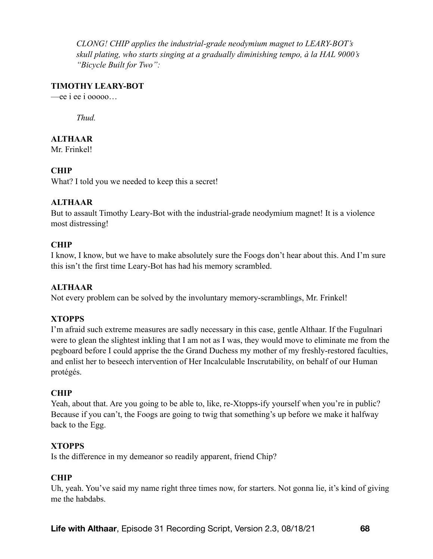*CLONG! CHIP applies the industrial-grade neodymium magnet to LEARY-BOT's skull plating, who starts singing at a gradually diminishing tempo, à la HAL 9000's "Bicycle Built for Two":* 

#### **TIMOTHY LEARY-BOT**

—ee i ee i ooooo…

*Thud.* 

# **ALTHAAR**

Mr. Frinkel!

### **CHIP**

What? I told you we needed to keep this a secret!

#### **ALTHAAR**

But to assault Timothy Leary-Bot with the industrial-grade neodymium magnet! It is a violence most distressing!

#### **CHIP**

I know, I know, but we have to make absolutely sure the Foogs don't hear about this. And I'm sure this isn't the first time Leary-Bot has had his memory scrambled.

### **ALTHAAR**

Not every problem can be solved by the involuntary memory-scramblings, Mr. Frinkel!

### **XTOPPS**

I'm afraid such extreme measures are sadly necessary in this case, gentle Althaar. If the Fugulnari were to glean the slightest inkling that I am not as I was, they would move to eliminate me from the pegboard before I could apprise the the Grand Duchess my mother of my freshly-restored faculties, and enlist her to beseech intervention of Her Incalculable Inscrutability, on behalf of our Human protégés.

### **CHIP**

Yeah, about that. Are you going to be able to, like, re-Xtopps-ify yourself when you're in public? Because if you can't, the Foogs are going to twig that something's up before we make it halfway back to the Egg.

#### **XTOPPS**

Is the difference in my demeanor so readily apparent, friend Chip?

### **CHIP**

Uh, yeah. You've said my name right three times now, for starters. Not gonna lie, it's kind of giving me the habdabs.

**Life with Althaar**, Episode 31 Recording Script, Version 2.3, 08/18/21 **68**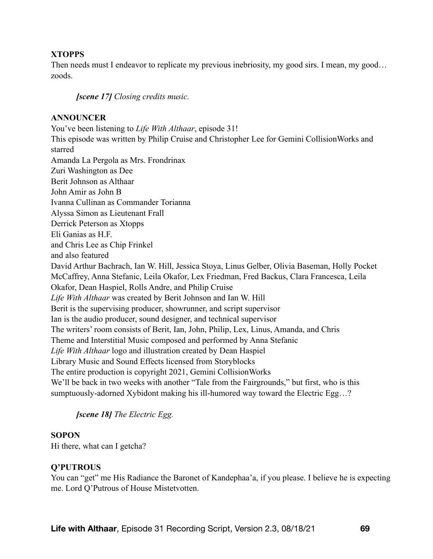### **XTOPPS**

Then needs must I endeavor to replicate my previous inebriosity, my good sirs. I mean, my good... zoods.

*[scene 17] Closing credits music.* 

#### **ANNOUNCER**

You've been listening to *Life With Althaar*, episode 31! This episode was written by Philip Cruise and Christopher Lee for Gemini CollisionWorks and starred Amanda La Pergola as Mrs. Frondrinax Zuri Washington as Dee Berit Johnson as Althaar John Amir as John B Ivanna Cullinan as Commander Torianna Alyssa Simon as Lieutenant Frall Derrick Peterson as Xtopps Eli Ganias as H.F. and Chris Lee as Chip Frinkel and also featured David Arthur Bachrach, Ian W. Hill, Jessica Stoya, Linus Gelber, Olivia Baseman, Holly Pocket McCaffrey, Anna Stefanic, Leila Okafor, Lex Friedman, Fred Backus, Clara Francesca, Leila Okafor, Dean Haspiel, Rolls Andre, and Philip Cruise *Life With Althaar* was created by Berit Johnson and Ian W. Hill Berit is the supervising producer, showrunner, and script supervisor Ian is the audio producer, sound designer, and technical supervisor The writers' room consists of Berit, Ian, John, Philip, Lex, Linus, Amanda, and Chris Theme and Interstitial Music composed and performed by Anna Stefanic *Life With Althaar* logo and illustration created by Dean Haspiel Library Music and Sound Effects licensed from Storyblocks The entire production is copyright 2021, Gemini CollisionWorks We'll be back in two weeks with another "Tale from the Fairgrounds," but first, who is this sumptuously-adorned Xybidont making his ill-humored way toward the Electric Egg…?

### *[scene 18] The Electric Egg.*

#### **SOPON**

Hi there, what can I getcha?

### **Q'PUTROUS**

You can "get" me His Radiance the Baronet of Kandephaa'a, if you please. I believe he is expecting me. Lord Q'Putrous of House Mistetvotten.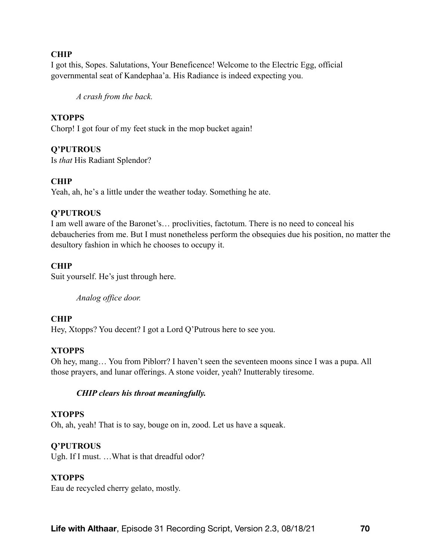### **CHIP**

I got this, Sopes. Salutations, Your Beneficence! Welcome to the Electric Egg, official governmental seat of Kandephaa'a. His Radiance is indeed expecting you.

*A crash from the back.* 

### **XTOPPS**

Chorp! I got four of my feet stuck in the mop bucket again!

### **Q'PUTROUS**

Is *that* His Radiant Splendor?

### **CHIP**

Yeah, ah, he's a little under the weather today. Something he ate.

### **Q'PUTROUS**

I am well aware of the Baronet's… proclivities, factotum. There is no need to conceal his debaucheries from me. But I must nonetheless perform the obsequies due his position, no matter the desultory fashion in which he chooses to occupy it.

# **CHIP**

Suit yourself. He's just through here.

*Analog office door.* 

### **CHIP**

Hey, Xtopps? You decent? I got a Lord Q'Putrous here to see you.

### **XTOPPS**

Oh hey, mang… You from Piblorr? I haven't seen the seventeen moons since I was a pupa. All those prayers, and lunar offerings. A stone voider, yeah? Inutterably tiresome.

### *CHIP clears his throat meaningfully.*

### **XTOPPS**

Oh, ah, yeah! That is to say, bouge on in, zood. Let us have a squeak.

### **Q'PUTROUS**

Ugh. If I must. ...What is that dreadful odor?

# **XTOPPS**

Eau de recycled cherry gelato, mostly.